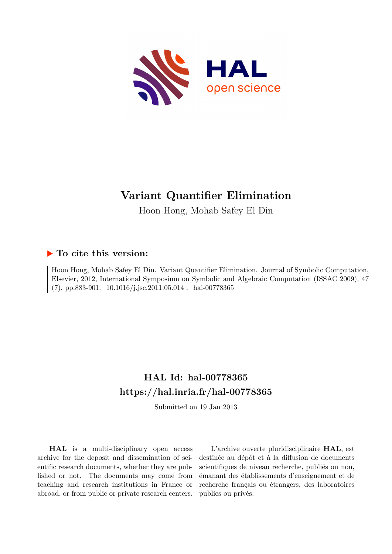

# **Variant Quantifier Elimination**

Hoon Hong, Mohab Safey El Din

### **To cite this version:**

Hoon Hong, Mohab Safey El Din. Variant Quantifier Elimination. Journal of Symbolic Computation, Elsevier, 2012, International Symposium on Symbolic and Algebraic Computation (ISSAC 2009), 47  $(7)$ , pp.883-901.  $10.1016/j.jsc.2011.05.014$ . hal-00778365

# **HAL Id: hal-00778365 <https://hal.inria.fr/hal-00778365>**

Submitted on 19 Jan 2013

**HAL** is a multi-disciplinary open access archive for the deposit and dissemination of scientific research documents, whether they are published or not. The documents may come from teaching and research institutions in France or abroad, or from public or private research centers.

L'archive ouverte pluridisciplinaire **HAL**, est destinée au dépôt et à la diffusion de documents scientifiques de niveau recherche, publiés ou non, émanant des établissements d'enseignement et de recherche français ou étrangers, des laboratoires publics ou privés.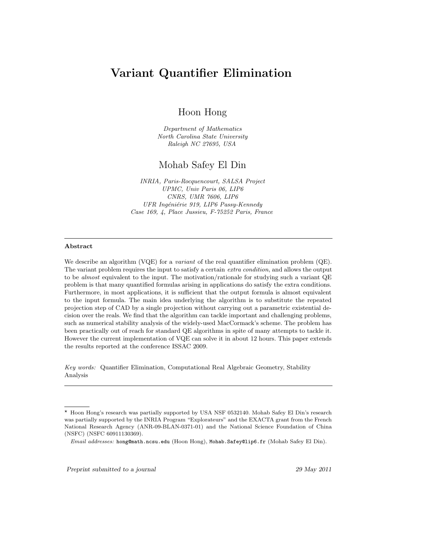## Variant Quantifier Elimination

Hoon Hong

Department of Mathematics North Carolina State University Raleigh NC 27695, USA

### Mohab Safey El Din

INRIA, Paris-Rocquencourt, SALSA Project UPMC, Univ Paris 06, LIP6 CNRS, UMR 7606, LIP6 UFR Ingéniérie 919, LIP6 Passy-Kennedy Case 169, 4, Place Jussieu, F-75252 Paris, France

#### Abstract

We describe an algorithm (VQE) for a *variant* of the real quantifier elimination problem (QE). The variant problem requires the input to satisfy a certain extra condition, and allows the output to be *almost* equivalent to the input. The motivation/rationale for studying such a variant QE problem is that many quantified formulas arising in applications do satisfy the extra conditions. Furthermore, in most applications, it is sufficient that the output formula is almost equivalent to the input formula. The main idea underlying the algorithm is to substitute the repeated projection step of CAD by a single projection without carrying out a parametric existential decision over the reals. We find that the algorithm can tackle important and challenging problems, such as numerical stability analysis of the widely-used MacCormack's scheme. The problem has been practically out of reach for standard QE algorithms in spite of many attempts to tackle it. However the current implementation of VQE can solve it in about 12 hours. This paper extends the results reported at the conference ISSAC 2009.

Key words: Quantifier Elimination, Computational Real Algebraic Geometry, Stability Analysis

Preprint submitted to a journal 29 May 2011

<sup>⋆</sup> Hoon Hong's research was partially supported by USA NSF 0532140. Mohab Safey El Din's research was partially supported by the INRIA Program "Explorateurs" and the EXACTA grant from the French National Research Agency (ANR-09-BLAN-0371-01) and the National Science Foundation of China (NSFC) (NSFC 60911130369).

Email addresses: hong@math.ncsu.edu (Hoon Hong), Mohab.Safey@lip6.fr (Mohab Safey El Din).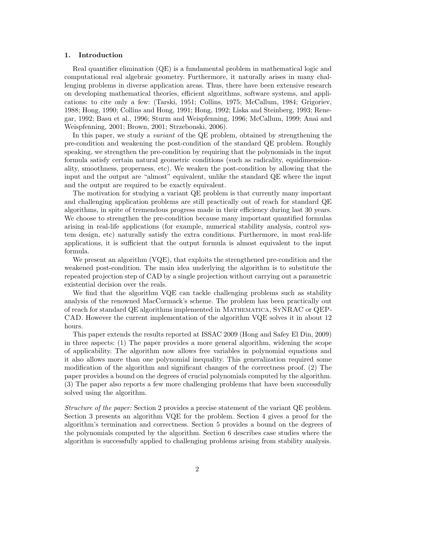#### 1. Introduction

Real quantifier elimination (QE) is a fundamental problem in mathematical logic and computational real algebraic geometry. Furthermore, it naturally arises in many challenging problems in diverse application areas. Thus, there have been extensive research on developing mathematical theories, efficient algorithms, software systems, and applications: to cite only a few: (Tarski, 1951; Collins, 1975; McCallum, 1984; Grigoriev, 1988; Hong, 1990; Collins and Hong, 1991; Hong, 1992; Liska and Steinberg, 1993; Renegar, 1992; Basu et al., 1996; Sturm and Weispfenning, 1996; McCallum, 1999; Anai and Weispfenning, 2001; Brown, 2001; Strzebonski, 2006).

In this paper, we study a *variant* of the QE problem, obtained by strengthening the pre-condition and weakening the post-condition of the standard QE problem. Roughly speaking, we strengthen the pre-condition by requiring that the polynomials in the input formula satisfy certain natural geometric conditions (such as radicality, equidimensionality, smoothness, properness, etc). We weaken the post-condition by allowing that the input and the output are "almost" equivalent, unlike the standard QE where the input and the output are required to be exactly equivalent.

The motivation for studying a variant QE problem is that currently many important and challenging application problems are still practically out of reach for standard QE algorithms, in spite of tremendous progress made in their efficiency during last 30 years. We choose to strengthen the pre-condition because many important quantified formulas arising in real-life applications (for example, numerical stability analysis, control system design, etc) naturally satisfy the extra conditions. Furthermore, in most real-life applications, it is sufficient that the output formula is almost equivalent to the input formula.

We present an algorithm (VQE), that exploits the strengthened pre-condition and the weakened post-condition. The main idea underlying the algorithm is to substitute the repeated projection step of CAD by a single projection without carrying out a parametric existential decision over the reals.

We find that the algorithm VQE can tackle challenging problems such as stability analysis of the renowned MacCormack's scheme. The problem has been practically out of reach for standard QE algorithms implemented in Mathematica, SyNRAC or QEP-CAD. However the current implementation of the algorithm VQE solves it in about 12 hours.

This paper extends the results reported at ISSAC 2009 (Hong and Safey El Din, 2009) in three aspects: (1) The paper provides a more general algorithm, widening the scope of applicability. The algorithm now allows free variables in polynomial equations and it also allows more than one polynomial inequality. This generalization required some modification of the algorithm and significant changes of the correctness proof. (2) The paper provides a bound on the degrees of crucial polynomials computed by the algorithm. (3) The paper also reports a few more challenging problems that have been successfully solved using the algorithm.

*Structure of the paper:* Section 2 provides a precise statement of the variant QE problem. Section 3 presents an algorithm VQE for the problem. Section 4 gives a proof for the algorithm's termination and correctness. Section 5 provides a bound on the degrees of the polynomials computed by the algorithm. Section 6 describes case studies where the algorithm is successfully applied to challenging problems arising from stability analysis.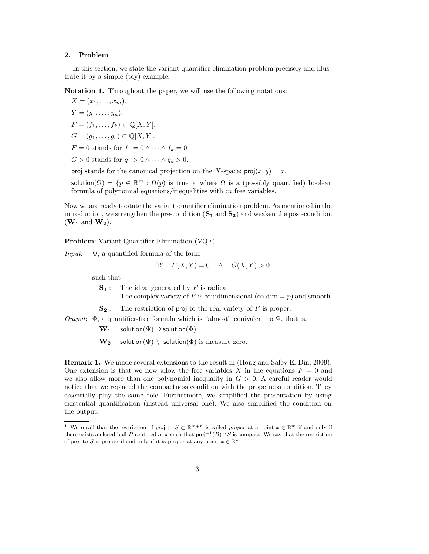#### 2. Problem

In this section, we state the variant quantifier elimination problem precisely and illustrate it by a simple (toy) example.

Notation 1. Throughout the paper, we will use the following notations:

 $X = (x_1, \ldots, x_m).$  $Y = (y_1, \ldots, y_n).$  $F = (f_1, \ldots, f_k) \subset \mathbb{Q}[X, Y].$  $G = (q_1, \ldots, q_s) \subset \mathbb{Q}[X, Y].$  $F = 0$  stands for  $f_1 = 0 \wedge \cdots \wedge f_k = 0$ .

 $G > 0$  stands for  $g_1 > 0 \wedge \cdots \wedge g_s > 0$ .

proj stands for the canonical projection on the X-space:  $proj(x, y) = x$ .

solution( $\Omega$ ) = { $p \in \mathbb{R}^m$ :  $\Omega(p)$  is true }, where  $\Omega$  is a (possibly quantified) boolean formula of polynomial equations/inequalities with  $m$  free variables.

Now we are ready to state the variant quantifier elimination problem. As mentioned in the introduction, we strengthen the pre-condition  $(S_1 \text{ and } S_2)$  and weaken the post-condition  $(\mathbf{W_1}$  and  $\mathbf{W_2}).$ 

|  |   | <b>Problem:</b> Variant Quantifier Elimination (VQE) |  |
|--|---|------------------------------------------------------|--|
|  | . |                                                      |  |

*Input*: Ψ, a quantified formula of the form  $\exists Y \quad F(X,Y) = 0 \quad \wedge \quad G(X,Y) > 0$ 

such that

- $S_1$ : The ideal generated by F is radical.
	- The complex variety of F is equidimensional (co-dim  $= p$ ) and smooth.
- $\mathbf{S}_2$ : The restriction of proj to the real variety of F is proper.<sup>1</sup>

*Output*:  $\Phi$ , a quantifier-free formula which is "almost" equivalent to  $\Psi$ , that is,

 $\mathbf{W}_1$  : solution( $\Psi$ )  $\supseteq$  solution( $\Phi$ )

 $\mathbf{W_2}:$  solution( $\Psi$ ) \ solution( $\Phi$ ) is measure zero.

Remark 1. We made several extensions to the result in (Hong and Safey El Din, 2009). One extension is that we now allow the free variables X in the equations  $F = 0$  and we also allow more than one polynomial inequality in  $G > 0$ . A careful reader would notice that we replaced the compactness condition with the properness condition. They essentially play the same role. Furthermore, we simplified the presentation by using existential quantification (instead universal one). We also simplified the condition on the output.

<sup>&</sup>lt;sup>1</sup> We recall that the restriction of proj to  $S \subset \mathbb{R}^{m+n}$  is called proper at a point  $x \in \mathbb{R}^m$  if and only if there exists a closed ball B centered at x such that  $proj^{-1}(B) \cap S$  is compact. We say that the restriction of proj to S is proper if and only if it is proper at any point  $x \in \mathbb{R}^m$ .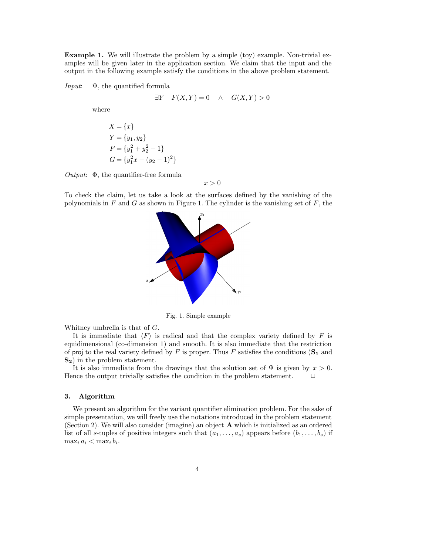Example 1. We will illustrate the problem by a simple (toy) example. Non-trivial examples will be given later in the application section. We claim that the input and the output in the following example satisfy the conditions in the above problem statement.

*Input*: Ψ, the quantified formula

$$
\exists Y \quad F(X,Y) = 0 \quad \land \quad G(X,Y) > 0
$$

where

$$
X = \{x\}
$$
  
\n
$$
Y = \{y_1, y_2\}
$$
  
\n
$$
F = \{y_1^2 + y_2^2 - 1\}
$$
  
\n
$$
G = \{y_1^2 x - (y_2 - 1)^2\}
$$

*Output*: Φ, the quantifier-free formula

$$
x > 0
$$

To check the claim, let us take a look at the surfaces defined by the vanishing of the polynomials in  $F$  and  $G$  as shown in Figure 1. The cylinder is the vanishing set of  $F$ , the



Fig. 1. Simple example

Whitney umbrella is that of G.

It is immediate that  $\langle F \rangle$  is radical and that the complex variety defined by F is equidimensional (co-dimension 1) and smooth. It is also immediate that the restriction of proj to the real variety defined by F is proper. Thus F satisfies the conditions  $(S_1$  and S<sub>2</sub>) in the problem statement.

It is also immediate from the drawings that the solution set of  $\Psi$  is given by  $x > 0$ . Hence the output trivially satisfies the condition in the problem statement.  $\Box$ 

#### 3. Algorithm

We present an algorithm for the variant quantifier elimination problem. For the sake of simple presentation, we will freely use the notations introduced in the problem statement (Section 2). We will also consider (imagine) an object A which is initialized as an ordered list of all s-tuples of positive integers such that  $(a_1, \ldots, a_s)$  appears before  $(b_1, \ldots, b_s)$  if  $\max_i a_i < \max_i b_i$ .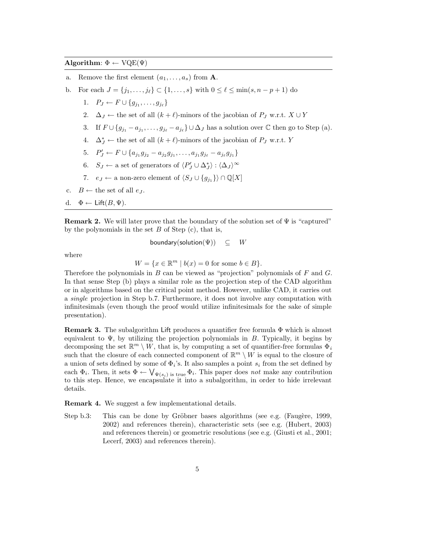#### Algorithm:  $\Phi \leftarrow \text{VQE}(\Psi)$

- a. Remove the first element  $(a_1, \ldots, a_s)$  from **A**.
- b. For each  $J = \{j_1, \ldots, j_\ell\} \subset \{1, \ldots, s\}$  with  $0 \leq \ell \leq \min(s, n p + 1)$  do
	- 1.  $P_J \leftarrow F \cup \{g_{j_1}, \ldots, g_{j_\ell}\}$
	- 2.  $\Delta_J \leftarrow$  the set of all  $(k + \ell)$ -minors of the jacobian of  $P_J$  w.r.t.  $X \cup Y$
	- 3. If  $F \cup \{g_{j1} a_{j1}, \ldots, g_{j_\ell} a_{j_\ell}\} \cup \Delta_J$  has a solution over  $\mathbb C$  then go to Step (a).
	- 4.  $\Delta_J^*$  ← the set of all  $(k + \ell)$ -minors of the jacobian of  $P_J$  w.r.t. Y
	- 5.  $P'_J \leftarrow F \cup \{a_{j_1}g_{j_2}-a_{j_2}g_{j_1},\ldots,a_{j_1}g_{j_\ell}-a_{j_\ell}g_{j_1}\}\$
	- 6.  $S_J \leftarrow$  a set of generators of  $\langle P'_J \cup \Delta_J^* \rangle : \langle \Delta_J \rangle^{\infty}$
	- 7.  $e_J \leftarrow$  a non-zero element of  $\langle S_J \cup \{g_{j_1}\}\rangle \cap \mathbb{Q}[X]$
- c.  $B \leftarrow$  the set of all  $e<sub>L</sub>$ .
- d.  $\Phi \leftarrow \text{Lift}(B, \Psi)$ .

**Remark 2.** We will later prove that the boundary of the solution set of  $\Psi$  is "captured" by the polynomials in the set  $B$  of Step (c), that is,

boundary(solution $(\Psi)$ )  $\subseteq$   $W$ 

where

$$
W = \{ x \in \mathbb{R}^m \mid b(x) = 0 \text{ for some } b \in B \}.
$$

Therefore the polynomials in  $B$  can be viewed as "projection" polynomials of  $F$  and  $G$ . In that sense Step (b) plays a similar role as the projection step of the CAD algorithm or in algorithms based on the critical point method. However, unlike CAD, it carries out a *single* projection in Step b.7. Furthermore, it does not involve any computation with infinitesimals (even though the proof would utilize infinitesimals for the sake of simple presentation).

**Remark 3.** The subalgorithm Lift produces a quantifier free formula  $\Phi$  which is almost equivalent to  $\Psi$ , by utilizing the projection polynomials in B. Typically, it begins by decomposing the set  $\mathbb{R}^m \setminus W$ , that is, by computing a set of quantifier-free formulas  $\Phi_i$ such that the closure of each connected component of  $\mathbb{R}^m \setminus W$  is equal to the closure of a union of sets defined by some of  $\Phi_i$ 's. It also samples a point  $s_i$  from the set defined by each  $\Phi_i$ . Then, it sets  $\Phi \leftarrow \bigvee_{\Psi(s_i)}$  is true  $\Phi_i$ . This paper does *not* make any contribution to this step. Hence, we encapsulate it into a subalgorithm, in order to hide irrelevant details.

Remark 4. We suggest a few implementational details.

Step b.3: This can be done by Gröbner bases algorithms (see e.g. (Faugère, 1999, 2002) and references therein), characteristic sets (see e.g. (Hubert, 2003) and references therein) or geometric resolutions (see e.g. (Giusti et al., 2001; Lecerf, 2003) and references therein).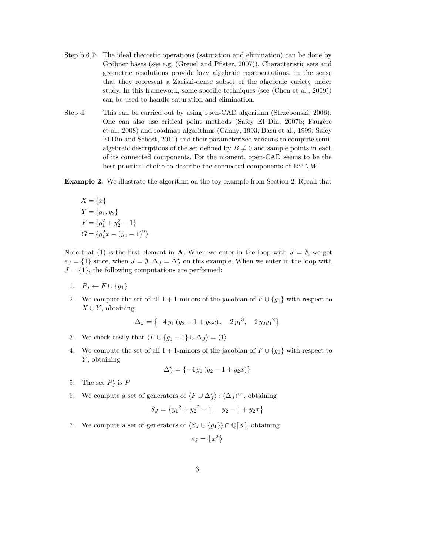- Step b.6,7: The ideal theoretic operations (saturation and elimination) can be done by Gröbner bases (see e.g. (Greuel and Pfister,  $2007$ )). Characteristic sets and geometric resolutions provide lazy algebraic representations, in the sense that they represent a Zariski-dense subset of the algebraic variety under study. In this framework, some specific techniques (see (Chen et al., 2009)) can be used to handle saturation and elimination.
- Step d: This can be carried out by using open-CAD algorithm (Strzebonski, 2006). One can also use critical point methods (Safey El Din, 2007b; Faugère et al., 2008) and roadmap algorithms (Canny, 1993; Basu et al., 1999; Safey El Din and Schost, 2011) and their parameterized versions to compute semialgebraic descriptions of the set defined by  $B \neq 0$  and sample points in each of its connected components. For the moment, open-CAD seems to be the best practical choice to describe the connected components of  $\mathbb{R}^m \setminus W$ .

Example 2. We illustrate the algorithm on the toy example from Section 2. Recall that

$$
X = \{x\}
$$
  
\n
$$
Y = \{y_1, y_2\}
$$
  
\n
$$
F = \{y_1^2 + y_2^2 - 1\}
$$
  
\n
$$
G = \{y_1^2 x - (y_2 - 1)^2\}
$$

Note that (1) is the first element in **A**. When we enter in the loop with  $J = \emptyset$ , we get  $e_J = \{1\}$  since, when  $J = \emptyset$ ,  $\Delta_J = \Delta_J^*$  on this example. When we enter in the loop with  $J = \{1\}$ , the following computations are performed:

- 1.  $P_J \leftarrow F \cup \{g_1\}$
- 2. We compute the set of all 1 + 1-minors of the jacobian of  $F \cup \{g_1\}$  with respect to  $X \cup Y$ , obtaining

$$
\Delta_J = \left\{-4y_1\left(y_2 - 1 + y_2x\right), \quad 2y_1^3, \quad 2y_2y_1^2\right\}
$$

3. We check easily that  $\langle F \cup \{g_1 - 1\} \cup \Delta_J \rangle = \langle 1 \rangle$ 

4. We compute the set of all 1 + 1-minors of the jacobian of  $F \cup \{g_1\}$  with respect to Y, obtaining

$$
\Delta_J^* = \{-4y_1(y_2 - 1 + y_2x)\}
$$

- 5. The set  $P'_J$  is F
- 6. We compute a set of generators of  $\langle F \cup \Delta_j^* \rangle : \langle \Delta_J \rangle^{\infty}$ , obtaining

$$
S_J = \left\{ y_1^2 + y_2^2 - 1, \quad y_2 - 1 + y_2 x \right\}
$$

7. We compute a set of generators of  $\langle S_J \cup \{g_1\} \rangle \cap \mathbb{Q}[X]$ , obtaining

$$
e_J = \left\{ x^2 \right\}
$$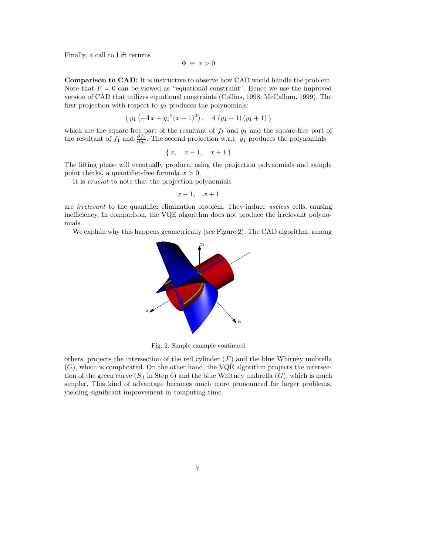Finally, a call to Lift returns

$$
\Phi \equiv x > 0
$$

Comparison to CAD: It is instructive to observe how CAD would handle the problem. Note that  $F = 0$  can be viewed as "equational constraint". Hence we use the improved version of CAD that utilizes equational constraints (Collins, 1998; McCallum, 1999). The first projection with respect to  $y_2$  produces the polynomials:

$$
\{y_1\left(-4x+y_1^2(x+1)^2\right),\quad 4\left(y_1-1\right)\left(y_1+1\right)\}
$$

which are the square-free part of the resultant of  $f_1$  and  $g_1$  and the square-free part of the resultant of  $f_1$  and  $\frac{\partial f_1}{\partial y_2}$ . The second projection w.r.t.  $y_1$  produces the polynomials

$$
\{x, x-1, x+1\}
$$

The lifting phase will eventually produce, using the projection polynomials and sample point checks, a quantifier-free formula  $x > 0$ .

It is *crucial* to note that the projection polynomials

$$
x-1, \quad x+1
$$

are *irrelevant* to the quantifier elimination problem. They induce *useless* cells, causing inefficiency. In comparison, the VQE algorithm does not produce the irrelevant polynomials.

We explain why this happens geometrically (see Figure 2). The CAD algorithm, among



Fig. 2. Simple example continued

others, projects the intersection of the red cylinder  $(F)$  and the blue Whitney umbrella  $(G)$ , which is complicated. On the other hand, the VQE algorithm projects the intersection of the green curve  $(S<sub>J</sub>$  in Step 6) and the blue Whitney umbrella  $(G)$ , which is much simpler. This kind of advantage becomes much more pronounced for larger problems, yielding significant improvement in computing time.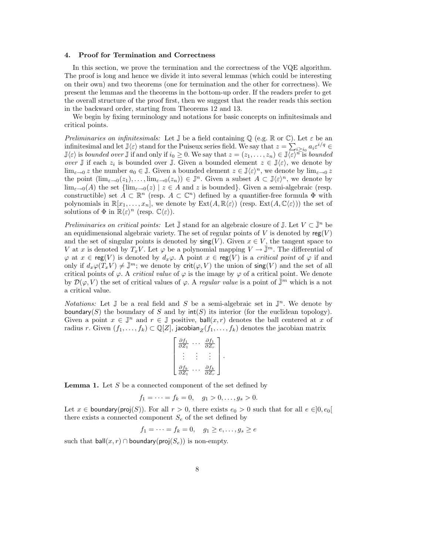#### 4. Proof for Termination and Correctness

In this section, we prove the termination and the correctness of the VQE algorithm. The proof is long and hence we divide it into several lemmas (which could be interesting on their own) and two theorems (one for termination and the other for correctness). We present the lemmas and the theorems in the bottom-up order. If the readers prefer to get the overall structure of the proof first, then we suggest that the reader reads this section in the backward order, starting from Theorems 12 and 13.

We begin by fixing terminology and notations for basic concepts on infinitesimals and critical points.

*Preliminaries on infinitesimals:* Let  $\mathbb{J}$  be a field containing  $\mathbb{Q}$  (e.g.  $\mathbb{R}$  or  $\mathbb{C}$ ). Let  $\varepsilon$  be an infinitesimal and let  $\mathbb{J}\langle \varepsilon \rangle$  stand for the Puiseux series field. We say that  $z = \sum_{i \geq i_0} a_i \varepsilon^{i/q} \in$  $\mathbb{J}\langle \varepsilon \rangle$  is *bounded over*  $\mathbb{J}$  if and only if  $i_0 \geq 0$ . We say that  $z = (z_1, \ldots, z_n) \in \mathbb{J}\langle \varepsilon \rangle^{n}$  is *bounded over*  $\mathbb{J}$  if each  $z_i$  is bounded over  $\mathbb{J}$ . Given a bounded element  $z \in \mathbb{J}\langle \varepsilon \rangle$ , we denote by  $\lim_{\varepsilon\to 0} z$  the number  $a_0 \in \mathbb{J}$ . Given a bounded element  $z \in \mathbb{J}\langle \varepsilon \rangle^n$ , we denote by  $\lim_{\varepsilon\to 0} z$ the point  $(\lim_{\varepsilon\to 0}(z_1),\ldots,\lim_{\varepsilon\to 0}(z_n))\in\mathbb{J}^n$ . Given a subset  $A\subset\mathbb{J}\langle \varepsilon\rangle^n$ , we denote by  $\lim_{\varepsilon\to 0}(A)$  the set  $\{\lim_{\varepsilon\to 0}(z) \mid z\in A \text{ and } z \text{ is bounded}\}.$  Given a semi-algebraic (resp. constructible) set  $A \subset \mathbb{R}^n$  (resp.  $A \subset \mathbb{C}^n$ ) defined by a quantifier-free formula  $\Phi$  with polynomials in  $\mathbb{R}[x_1,\ldots,x_n]$ , we denote by  $\text{Ext}(A,\mathbb{R}\langle \varepsilon \rangle)$  (resp.  $\text{Ext}(A,\mathbb{C}\langle \varepsilon \rangle)$ ) the set of solutions of  $\Phi$  in  $\mathbb{R}\langle \varepsilon \rangle^n$  (resp.  $\mathbb{C}\langle \varepsilon \rangle$ ).

*Preliminaries on critical points:* Let  $\overline{\mathbb{J}}$  stand for an algebraic closure of  $\mathbb{J}$ . Let  $V \subset \overline{\mathbb{J}}^n$  be an equidimensional algebraic variety. The set of regular points of V is denoted by  $reg(V)$ and the set of singular points is denoted by  $\operatorname{sing}(V)$ . Given  $x \in V$ , the tangent space to V at x is denoted by  $T_xV$ . Let  $\varphi$  be a polynomial mapping  $V \to \mathbb{J}^m$ . The differential of  $\varphi$  at  $x \in \text{reg}(V)$  is denoted by  $d_x\varphi$ . A point  $x \in \text{reg}(V)$  is a *critical point* of  $\varphi$  if and only if  $d_x\varphi(T_xV) \neq \overline{\mathbb{J}}^m$ ; we denote by crit $(\varphi, V)$  the union of sing(V) and the set of all critical points of  $\varphi$ . A *critical value* of  $\varphi$  is the image by  $\varphi$  of a critical point. We denote by  $\mathcal{D}(\varphi, V)$  the set of critical values of  $\varphi$ . A *regular value* is a point of  $\bar{\mathbb{J}}^m$  which is a not a critical value.

*Notations:* Let  $\mathbb{J}$  be a real field and S be a semi-algebraic set in  $\mathbb{J}^n$ . We denote by boundary(S) the boundary of S and by  $\text{int}(S)$  its interior (for the euclidean topology). Given a point  $x \in \mathbb{J}^n$  and  $r \in \mathbb{J}$  positive, ball $(x, r)$  denotes the ball centered at x of radius r. Given  $(f_1, \ldots, f_k) \subset \mathbb{Q}[Z]$ , jacobian $_Z(f_1, \ldots, f_k)$  denotes the jacobian matrix

$$
\begin{bmatrix}\n\frac{\partial f_1}{\partial Z_1} & \cdots & \frac{\partial f_1}{\partial Z_r} \\
\vdots & \vdots & \vdots \\
\frac{\partial f_k}{\partial Z_1} & \cdots & \frac{\partial f_k}{\partial Z_r}\n\end{bmatrix}.
$$

**Lemma 1.** Let  $S$  be a connected component of the set defined by

$$
f_1 = \cdots = f_k = 0, \quad g_1 > 0, \ldots, g_s > 0.
$$

Let  $x \in$  boundary(proj(S)). For all  $r > 0$ , there exists  $e_0 > 0$  such that for all  $e \in ]0, e_0[$ there exists a connected component  $S_e$  of the set defined by

$$
f_1 = \dots = f_k = 0, \quad g_1 \ge e, \dots, g_s \ge e
$$

such that  $ball(x, r) \cap boundary(proj(S_e))$  is non-empty.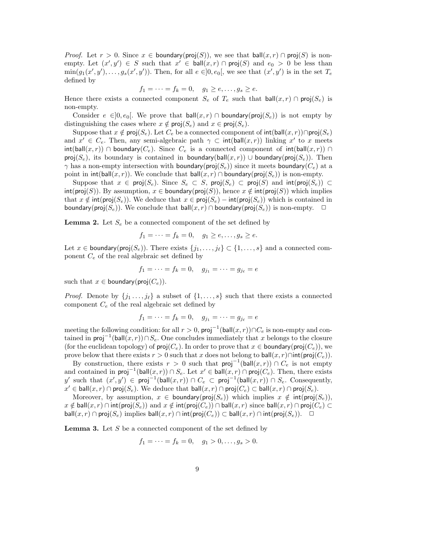*Proof.* Let  $r > 0$ . Since  $x \in$  boundary( $proj(S)$ ), we see that  $ball(x, r) \cap proj(S)$  is nonempty. Let  $(x', y') \in S$  such that  $x' \in \text{ball}(x, r) \cap \text{proj}(S)$  and  $e_0 > 0$  be less than  $\min(g_1(x', y'), \ldots, g_s(x', y'))$ . Then, for all  $e \in ]0, e_0[$ , we see that  $(x', y')$  is in the set  $T_e$ defined by

$$
f_1 = \cdots = f_k = 0, \quad g_1 \ge e, \dots, g_s \ge e.
$$

Hence there exists a connected component  $S_e$  of  $T_e$  such that  $ball(x, r) \cap proj(S_e)$  is non-empty.

Consider  $e \in ]0, e_0[$ . We prove that ball $(x, r) \cap$  boundary(proj $(S_e)$ ) is not empty by distinguishing the cases where  $x \notin \textsf{proj}(S_e)$  and  $x \in \textsf{proj}(S_e)$ .

Suppose that  $x \notin \textsf{proj}(S_e)$ . Let  $C_e$  be a connected component of  $\textsf{int}(\textsf{ball}(x, r)) \cap \textsf{proj}(S_e)$ and  $x' \in C_e$ . Then, any semi-algebraic path  $\gamma \subset \text{int}(\text{ball}(x,r))$  linking  $x'$  to x meets  $\text{int}(\text{ball}(x, r)) \cap \text{boundary}(C_e)$ . Since  $C_e$  is a connected component of  $\text{int}(\text{ball}(x, r)) \cap \text{bound}$ proj(S<sub>e</sub>), its boundary is contained in boundary(ball(x, r)) ∪ boundary(proj(S<sub>e</sub>)). Then  $\gamma$  has a non-empty intersection with boundary( $proj(S_e)$ ) since it meets boundary( $C_e$ ) at a point in  $int(ball(x, r))$ . We conclude that  $ball(x, r) \cap boundary(proj(S_e))$  is non-empty.

Suppose that  $x \in \text{proj}(S_e)$ . Since  $S_e \subset S$ , proj $(S_e) \subset \text{proj}(S)$  and  $\text{int}(\text{proj}(S_e)) \subset$  $\text{int}(\text{proj}(S))$ . By assumption,  $x \in \text{boundary}(\text{proj}(S))$ , hence  $x \notin \text{int}(\text{proj}(S))$  which implies that  $x \notin \text{int}(\text{proj}(S_e))$ . We deduce that  $x \in \text{proj}(S_e) - \text{int}(\text{proj}(S_e))$  which is contained in boundary( $proj(S_e)$ ). We conclude that ball $(x, r) \cap$ boundary( $proj(S_e)$ ) is non-empty.  $\Box$ 

**Lemma 2.** Let  $S_e$  be a connected component of the set defined by

$$
f_1 = \cdots = f_k = 0, \quad g_1 \ge e, \ldots, g_s \ge e.
$$

Let  $x \in$  boundary(proj $(S_e)$ ). There exists  $\{j_1, \ldots, j_\ell\} \subset \{1, \ldots, s\}$  and a connected component  $C_e$  of the real algebraic set defined by

$$
f_1 = \cdots = f_k = 0, \quad g_{j_1} = \cdots = g_{j_\ell} = e
$$

such that  $x \in$  boundary(proj $(C_e)$ ).

*Proof.* Denote by  $\{j_1, \ldots, j_\ell\}$  a subset of  $\{1, \ldots, s\}$  such that there exists a connected component  $C_e$  of the real algebraic set defined by

$$
f_1 = \cdots = f_k = 0, \quad g_{j_1} = \cdots = g_{j_\ell} = e
$$

meeting the following condition: for all  $r > 0$ ,  $\mathsf{proj}^{-1}(\mathsf{ball}(x,r)) \cap C_e$  is non-empty and contained in  $\textsf{proj}^{-1}(\textsf{ball}(x,r)) \cap S_e$ . One concludes immediately that x belongs to the closure (for the euclidean topology) of  $proj(C_e)$ . In order to prove that  $x \in$  boundary(proj $(C_e)$ ), we prove below that there exists  $r > 0$  such that x does not belong to ball $(x, r) \cap \text{int}(\text{proj}(C_e)).$ 

By construction, there exists  $r > 0$  such that  $proj^{-1}(\text{ball}(x,r)) \cap C_e$  is not empty and contained in  $\mathsf{proj}^{-1}(\mathsf{ball}(x,r)) \cap S_e$ . Let  $x' \in \mathsf{ball}(x,r) \cap \mathsf{proj}(C_e)$ . Then, there exists y' such that  $(x', y') \in \text{proj}^{-1}(\text{ball}(x, r)) \cap C_e \subset \text{proj}^{-1}(\text{ball}(x, r)) \cap S_e$ . Consequently,  $x' \in \mathsf{ball}(x,r) \cap \mathsf{proj}(S_e)$ . We deduce that  $\mathsf{ball}(x,r) \cap \mathsf{proj}(C_e) \subset \mathsf{ball}(x,r) \cap \mathsf{proj}(S_e)$ .

Moreover, by assumption,  $x \in$  boundary(proj $(S_e)$ ) which implies  $x \notin \text{int}(\text{proj}(S_e))$ ,  $x \notin \text{ball}(x, r) \cap \text{int}(\text{proj}(S_e))$  and  $x \notin \text{int}(\text{proj}(C_e)) \cap \text{ball}(x, r)$  since ball $(x, r) \cap \text{proj}(C_e) \subset$ ball $(x, r) \cap \text{proj}(S_e)$  implies ball $(x, r) \cap \text{int}(\text{proj}(C_e)) \subset \text{ball}(x, r) \cap \text{int}(\text{proj}(S_e))$ .  $\Box$ 

**Lemma 3.** Let  $S$  be a connected component of the set defined by

$$
f_1 = \dots = f_k = 0, \quad g_1 > 0, \dots, g_s > 0.
$$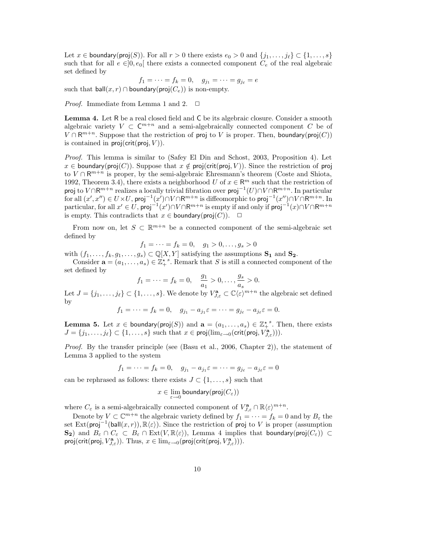Let  $x \in$  boundary(proj(S)). For all  $r > 0$  there exists  $e_0 > 0$  and  $\{j_1, \ldots, j_\ell\} \subset \{1, \ldots, s\}$ such that for all  $e \in ]0, e_0[$  there exists a connected component  $C_e$  of the real algebraic set defined by

$$
f_1 = \dots = f_k = 0, \quad g_{j_1} = \dots = g_{j_\ell} = e
$$
  
such that  $\text{ball}(x, r) \cap \text{boundary}(\text{proj}(C_e))$  is non-empty.

*Proof.* Immediate from Lemma 1 and 2.  $\Box$ 

Lemma 4. Let R be a real closed field and C be its algebraic closure. Consider a smooth algebraic variety  $V \subset \mathbb{C}^{m+n}$  and a semi-algebraically connected component C be of  $V \cap R^{m+n}$ . Suppose that the restriction of proj to V is proper. Then, boundary(proj $(C)$ ) is contained in  $proj(crit(proj, V))$ .

*Proof.* This lemma is similar to (Safey El Din and Schost, 2003, Proposition 4). Let  $x \in$  boundary(proj(C)). Suppose that  $x \notin \text{proj}(\text{crit}(\text{proj}, V))$ . Since the restriction of proj to  $V \cap \mathbb{R}^{m+n}$  is proper, by the semi-algebraic Ehresmann's theorem (Coste and Shiota, 1992, Theorem 3.4), there exists a neighborhood U of  $x \in \mathbb{R}^m$  such that the restriction of proj to  $V \cap \mathsf{R}^{m+n}$  realizes a locally trivial fibration over  $\mathsf{proj}^{-1}(U) \cap V \cap \mathsf{R}^{m+n}$ . In particular for all  $(x',x'') \in U \times U$ , proj $^{-1}(x') \cap V \cap \mathsf{R}^{m+n}$  is diffeomorphic to proj $^{-1}(x'') \cap V \cap \mathsf{R}^{m+n}$ . In particular, for all  $x' \in U$ , proj $^{-1}(x') \cap V \cap \mathsf{R}^{m+n}$  is empty if and only if proj $^{-1}(x) \cap V \cap \mathsf{R}^{m+n}$ is empty. This contradicts that  $x \in$  boundary(proj $(C)$ ).  $\Box$ 

From now on, let  $S \subset \mathbb{R}^{m+n}$  be a connected component of the semi-algebraic set defined by

$$
f_1 = \dots = f_k = 0, \quad g_1 > 0, \dots, g_s > 0
$$

with  $(f_1, \ldots, f_k, g_1, \ldots, g_s) \subset \mathbb{Q}[X, Y]$  satisfying the assumptions  $S_1$  and  $S_2$ .

Consider  $\mathbf{a} = (a_1, \ldots, a_s) \in \mathbb{Z}_+^{\star}$ <sup>s</sup>. Remark that S is still a connected component of the set defined by

$$
f_1 = \cdots = f_k = 0, \quad \frac{g_1}{a_1} > 0, \ldots, \frac{g_s}{a_s} > 0.
$$

Let  $J = \{j_1, \ldots, j_\ell\} \subset \{1, \ldots, s\}$ . We denote by  $V_{J,\varepsilon}^{\mathbf{a}} \subset \mathbb{C}\langle \varepsilon \rangle^{m+n}$  the algebraic set defined by

$$
f_1 = \cdots = f_k = 0, \quad g_{j_1} - a_{j_1} \varepsilon = \cdots = g_{j_\ell} - a_{j_\ell} \varepsilon = 0.
$$

**Lemma 5.** Let  $x \in$  boundary( $proj(S)$ ) and  $\mathbf{a} = (a_1, \ldots, a_s) \in \mathbb{Z}_+^{*s}$ . Then, there exists  $J = \{j_1, \ldots, j_\ell\} \subset \{1, \ldots, s\}$  such that  $x \in \text{proj}(\lim_{\varepsilon \to 0} (\text{crit}(\text{proj}, V_{J, \varepsilon}^{\mathbf{a}}))).$ 

*Proof.* By the transfer principle (see (Basu et al., 2006, Chapter 2)), the statement of Lemma 3 applied to the system

$$
f_1 = \cdots = f_k = 0, \quad g_{j_1} - a_{j_1} \varepsilon = \cdots = g_{j_\ell} - a_{j_\ell} \varepsilon = 0
$$

can be rephrased as follows: there exists  $J \subset \{1, \ldots, s\}$  such that

$$
x\in \lim_{\varepsilon\to 0} \mathsf{boundary}(\mathsf{proj}(C_\varepsilon))
$$

where  $C_{\varepsilon}$  is a semi-algebraically connected component of  $V_{J,\varepsilon}^{\mathbf{a}} \cap \mathbb{R}\langle \varepsilon \rangle^{m+n}$ .

Denote by  $V \subset \mathbb{C}^{m+n}$  the algebraic variety defined by  $f_1 = \cdots = f_k = 0$  and by  $B_\varepsilon$  the set Ext(proj<sup>-1</sup>(ball $(x, r)$ ),  $\mathbb{R}\langle \varepsilon \rangle$ ). Since the restriction of proj to V is proper (assumption  $\mathbf{S}_2$ ) and  $B_\varepsilon \cap C_\varepsilon \subset B_\varepsilon \cap \text{Ext}(V, \mathbb{R}\langle \varepsilon \rangle)$ , Lemma 4 implies that boundary(proj $(C_\varepsilon)$ ) ⊂ proj(crit(proj,  $V_{J,\varepsilon}^{\mathbf{a}}$ )). Thus,  $x \in \lim_{\varepsilon \to 0} (proj(crit(proj, V_{J,\varepsilon}^{\mathbf{a}}))).$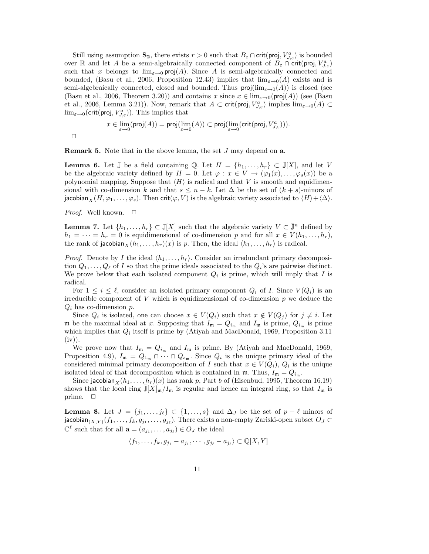Still using assumption  $S_2$ , there exists  $r > 0$  such that  $B_\varepsilon \cap \text{crit}(\text{proj}, V_{J,\varepsilon}^a)$  is bounded over R and let A be a semi-algebraically connected component of  $B_\varepsilon \cap \text{crit}(\text{proj}, V_{J,\varepsilon}^a)$ such that x belongs to  $\lim_{\epsilon \to 0} \text{proj}(A)$ . Since A is semi-algebraically connected and bounded, (Basu et al., 2006, Proposition 12.43) implies that  $\lim_{\varepsilon\to 0}(A)$  exists and is semi-algebraically connected, closed and bounded. Thus  $\text{proj}(\lim_{\varepsilon\to 0}(A))$  is closed (see (Basu et al., 2006, Theorem 3.20)) and contains x since  $x \in \lim_{\varepsilon \to 0} (proj(A))$  (see (Basu et al., 2006, Lemma 3.21)). Now, remark that  $A \subset \text{crit}(\text{proj}, V_{J,\varepsilon}^a)$  implies  $\lim_{\varepsilon \to 0}(A) \subset$  $\lim_{\varepsilon\to 0}$ (crit(proj,  $V_{J,\varepsilon}^a$ )). This implies that

$$
x\in \lim\limits_{\varepsilon\to 0}(\operatorname{proj}(A))=\operatorname{proj}(\lim\limits_{\varepsilon\to 0}(A))\subset\operatorname{proj}(\lim\limits_{\varepsilon\to 0}(\operatorname{crit}(\operatorname{proj},V^a_{J,\varepsilon}))).
$$

 $\Box$ 

Remark 5. Note that in the above lemma, the set J may depend on a.

**Lemma 6.** Let  $\mathbb{J}$  be a field containing Q. Let  $H = \{h_1, \ldots, h_r\} \subset \mathbb{J}[X]$ , and let V be the algebraic variety defined by  $H = 0$ . Let  $\varphi : x \in V \to (\varphi_1(x), \ldots, \varphi_s(x))$  be a polynomial mapping. Suppose that  $\langle H \rangle$  is radical and that V is smooth and equidimensional with co-dimension k and that  $s \leq n - k$ . Let  $\Delta$  be the set of  $(k + s)$ -minors of jacobian  $_X(H, \varphi_1, \ldots, \varphi_s)$ . Then crit( $\varphi, V$ ) is the algebraic variety associated to  $\langle H \rangle + \langle \Delta \rangle$ .

*Proof.* Well known. □

**Lemma 7.** Let  $\{h_1, \ldots, h_r\} \subset \mathbb{J}[X]$  such that the algebraic variety  $V \subset \mathbb{J}^n$  defined by  $h_1 = \cdots = h_r = 0$  is equidimensional of co-dimension p and for all  $x \in V(h_1, \ldots, h_r)$ , the rank of jacobian $\chi(h_1, \ldots, h_r)(x)$  is p. Then, the ideal  $\langle h_1, \ldots, h_r \rangle$  is radical.

*Proof.* Denote by I the ideal  $\langle h_1, \ldots, h_r \rangle$ . Consider an irredundant primary decomposition  $Q_1, \ldots, Q_\ell$  of I so that the prime ideals associated to the  $Q_i$ 's are pairwise distinct. We prove below that each isolated component  $Q_i$  is prime, which will imply that I is radical.

For  $1 \leq i \leq \ell$ , consider an isolated primary component  $Q_i$  of I. Since  $V(Q_i)$  is an irreducible component of  $V$  which is equidimensional of co-dimension  $p$  we deduce the  $Q_i$  has co-dimension  $p$ .

Since  $Q_i$  is isolated, one can choose  $x \in V(Q_i)$  such that  $x \notin V(Q_j)$  for  $j \neq i$ . Let m be the maximal ideal at x. Supposing that  $I_m = Q_{i_m}$  and  $I_m$  is prime,  $Q_{i_m}$  is prime which implies that  $Q_i$  itself is prime by (Atiyah and MacDonald, 1969, Proposition 3.11  $(iv)$ ).

We prove now that  $I_m = Q_{i_m}$  and  $I_m$  is prime. By (Atiyah and MacDonald, 1969, Proposition 4.9),  $I_{\mathfrak{m}} = Q_{1_{\mathfrak{m}}} \cap \cdots \cap Q_{s_{\mathfrak{m}}}$ . Since  $Q_i$  is the unique primary ideal of the considered minimal primary decomposition of I such that  $x \in V(Q_i)$ ,  $Q_i$  is the unique isolated ideal of that decomposition which is contained in  $\mathfrak{m}$ . Thus,  $I_{\mathfrak{m}} = Q_{i_{\mathfrak{m}}}$ .

Since jacobian $\chi(h_1, \ldots, h_r)(x)$  has rank p, Part b of (Eisenbud, 1995, Theorem 16.19) shows that the local ring  $\overline{\mathbb{J}}[X]_{\mathfrak{m}}/I_{\mathfrak{m}}$  is regular and hence an integral ring, so that  $I_{\mathfrak{m}}$  is prime.  $\Box$ 

**Lemma 8.** Let  $J = \{j_1, \ldots, j_\ell\} \subset \{1, \ldots, s\}$  and  $\Delta_J$  be the set of  $p + \ell$  minors of jacobian $_{(X,Y)}(f_1,\ldots,f_k,g_{j_1},\ldots,g_{j_\ell}).$  There exists a non-empty Zariski-open subset  $O_J\subset$  $\mathbb{C}^{\ell}$  such that for all  $\mathbf{a} = (a_{j_1}, \ldots, a_{j_{\ell}}) \in O_J$  the ideal

$$
\langle f_1,\ldots,f_k,g_{j_1}-a_{j_1},\cdots,g_{j_\ell}-a_{j_\ell}\rangle\subset\mathbb{Q}[X,Y]
$$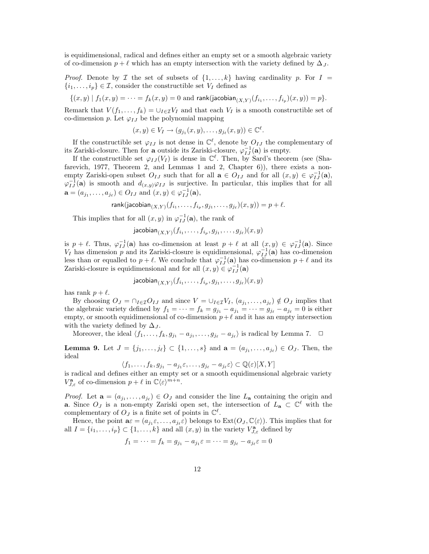is equidimensional, radical and defines either an empty set or a smooth algebraic variety of co-dimension  $p + \ell$  which has an empty intersection with the variety defined by  $\Delta_J$ .

*Proof.* Denote by I the set of subsets of  $\{1, \ldots, k\}$  having cardinality p. For I =  $\{i_1, \ldots, i_p\} \in \mathcal{I}$ , consider the constructible set  $V_I$  defined as

$$
\{(x,y) \mid f_1(x,y) = \cdots = f_k(x,y) = 0 \text{ and } \text{rank}(\text{jacobian}_{(X,Y)}(f_{i_1}, \ldots, f_{i_p})(x,y)) = p\}.
$$

Remark that  $V(f_1,\ldots,f_k)=\bigcup_{I\in\mathcal{I}}V_I$  and that each  $V_I$  is a smooth constructible set of co-dimension p. Let  $\varphi_{IJ}$  be the polynomial mapping

$$
(x,y)\in V_I\to (g_{j_1}(x,y),\ldots,g_{j_\ell}(x,y))\in\mathbb{C}^\ell.
$$

If the constructible set  $\varphi_{IJ}$  is not dense in  $\mathbb{C}^{\ell}$ , denote by  $O_{IJ}$  the complementary of its Zariski-closure. Then for **a** outside its Zariski-closure,  $\varphi_{IJ}^{-1}(\mathbf{a})$  is empty.

If the constructible set  $\varphi_{IJ}(V_I)$  is dense in  $\mathbb{C}^{\ell}$ . Then, by Sard's theorem (see (Shafarevich, 1977, Theorem 2, and Lemmas 1 and 2, Chapter 6)), there exists a nonempty Zariski-open subset  $O_{IJ}$  such that for all  $\mathbf{a} \in O_{IJ}$  and for all  $(x, y) \in \varphi_{IJ}^{-1}(\mathbf{a}),$  $\varphi_{IJ}^{-1}(\mathbf{a})$  is smooth and  $d_{(x,y)}\varphi_{IJ}$  is surjective. In particular, this implies that for all  $\mathbf{a} = (a_{j_1}, \dots, a_{j_\ell}) \in O_{IJ}$  and  $(x, y) \in \varphi_{IJ}^{-1}(\mathbf{a}),$ 

rank(jacobian
$$
(X,Y)
$$
 $(f_{i_1},...,f_{i_p},g_{j_1},...,g_{j_\ell})(x,y)) = p + \ell.$ 

This implies that for all  $(x, y)$  in  $\varphi_{IJ}^{-1}(\mathbf{a})$ , the rank of

$$
\mathsf{jacobian}_{(X,Y)}(f_{i_1},\ldots,f_{i_p},g_{j_1},\ldots,g_{j_\ell})(x,y)
$$

is  $p+\ell$ . Thus,  $\varphi_{IJ}^{-1}(\mathbf{a})$  has co-dimension at least  $p+\ell$  at all  $(x, y) \in \varphi_{IJ}^{-1}(\mathbf{a})$ . Since  $V_I$  has dimension p and its Zariski-closure is equidimensional,  $\varphi_{IJ}^{-1}(\mathbf{a})$  has co-dimension less than or equalled to  $p + \ell$ . We conclude that  $\varphi_{IJ}^{-1}(\mathbf{a})$  has co-dimension  $p + \ell$  and its Zariski-closure is equidimensional and for all  $(x, y) \in \varphi_{IJ}^{-1}(\mathbf{a})$ 

$$
\mathsf{jacobian}_{(X,Y)}(f_{i_1},\ldots,f_{i_p},g_{j_1},\ldots,g_{j_\ell})(x,y)
$$

has rank  $p + \ell$ .

By choosing  $O_J = \bigcap_{I \in \mathcal{I}} O_{IJ}$  and since  $V = \bigcup_{I \in \mathcal{I}} V_I$ ,  $(a_{j_1}, \ldots, a_{j_\ell}) \notin O_J$  implies that the algebraic variety defined by  $f_1 = \cdots = f_k = g_{j_1} - a_{j_1} = \cdots = g_{j_\ell} - a_{j_\ell} = 0$  is either empty, or smooth equidimensional of co-dimension  $p+\ell$  and it has an empty intersection with the variety defined by  $\Delta_J$ .

Moreover, the ideal  $\langle f_1, \ldots, f_k, g_{j_1} - a_{j_1}, \ldots, g_{j_\ell} - a_{j_\ell} \rangle$  is radical by Lemma 7.  $\Box$ 

**Lemma 9.** Let  $J = \{j_1, ..., j_\ell\} \subset \{1, ..., s\}$  and  $\mathbf{a} = (a_{j_1}, ..., a_{j_\ell}) \in O_J$ . Then, the ideal

 $\langle f_1,\ldots,f_k,g_{j_1}-a_{j_1}\varepsilon,\ldots,g_{j_\ell}-a_{j_\ell}\varepsilon\rangle\subset\mathbb{Q}(\varepsilon)[X,Y]$ 

is radical and defines either an empty set or a smooth equidimensional algebraic variety  $V_{J,\varepsilon}^{\mathbf{a}}$  of co-dimension  $p+\ell$  in  $\mathbb{C}\langle\varepsilon\rangle^{m+n}$ .

*Proof.* Let  $\mathbf{a} = (a_{j_1}, \ldots, a_{j_\ell}) \in O_J$  and consider the line  $L_{\mathbf{a}}$  containing the origin and **a.** Since  $O_J$  is a non-empty Zariski open set, the intersection of  $L_a \subset \mathbb{C}^{\ell}$  with the complementary of  $O_J$  is a finite set of points in  $\mathbb{C}^{\ell}$ .

Hence, the point  $\mathbf{a}\varepsilon = (a_{j_1}\varepsilon,\ldots,a_{j_\ell}\varepsilon)$  belongs to  $\text{Ext}(O_J,\mathbb{C}\langle \varepsilon \rangle)$ . This implies that for all  $I = \{i_1, \ldots, i_p\} \subset \{1, \ldots, k\}$  and all  $(x, y)$  in the variety  $V_{J, \varepsilon}^{\mathbf{a}}$  defined by

$$
f_1 = \cdots = f_k = g_{j_1} - a_{j_1} \varepsilon = \cdots = g_{j_\ell} - a_{j_\ell} \varepsilon = 0
$$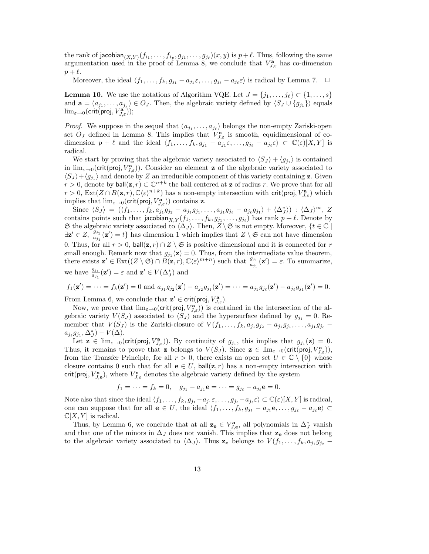the rank of jacobian $_{(X,Y)}(f_{i_1},\ldots,f_{i_p},g_{j_1},\ldots,g_{j_\ell})(x,y)$  is  $p+\ell$ . Thus, following the same argumentation used in the proof of Lemma 8, we conclude that  $V_{J,\varepsilon}^{\mathbf{a}}$  has co-dimension  $p + \ell$ .

Moreover, the ideal  $\langle f_1, \ldots, f_k, g_{j_1} - a_{j_1} \varepsilon, \ldots, g_{j_\ell} - a_{j_\ell} \varepsilon \rangle$  is radical by Lemma 7.  $\Box$ 

**Lemma 10.** We use the notations of Algorithm VQE. Let  $J = \{j_1, \ldots, j_\ell\} \subset \{1, \ldots, s\}$ and  $\mathbf{a} = (a_{j_1}, \ldots, a_{j_\ell}) \in O_J$ . Then, the algebraic variety defined by  $\langle S_J \cup \{g_{j_1}\}\rangle$  equals  $\lim_{\varepsilon\rightarrow 0}(\mathsf{crit}(\mathsf{proj}, V_{J,\varepsilon}^\mathbf{a}));$ 

*Proof.* We suppose in the sequel that  $(a_{j_1},..., a_{j_\ell})$  belongs the non-empty Zariski-open set  $O_J$  defined in Lemma 8. This implies that  $V_{J,\varepsilon}^{\mathbf{a}}$  is smooth, equidimensional of codimension  $p + \ell$  and the ideal  $\langle f_1, \ldots, f_k, g_{j_1} - a_{j_1} \varepsilon, \ldots, g_{j_\ell} - a_{j_\ell} \varepsilon \rangle \subset \mathbb{C}(\varepsilon)[X, Y]$  is radical.

We start by proving that the algebraic variety associated to  $\langle S_J \rangle + \langle g_{j_1} \rangle$  is contained in  $\lim_{\varepsilon\to 0}$  (crit(proj,  $V_{J,\varepsilon}^{\mathbf{a}}$ )). Consider an element **z** of the algebraic variety associated to  $\langle S_J \rangle + \langle g_{j_1} \rangle$  and denote by Z an irreducible component of this variety containing z. Given  $r > 0$ , denote by  $ball(\mathbf{z}, r) \subset \mathbb{C}^{n+k}$  the ball centered at  $\mathbf{z}$  of radius r. We prove that for all  $r > 0$ ,  $\text{Ext}(Z \cap B(\mathbf{z}, r), \mathbb{C}\langle \varepsilon \rangle^{n+k})$  has a non-empty intersection with crit(proj,  $V_{J,\varepsilon}^{\mathbf{a}}$ ) which implies that  $\lim_{\varepsilon \to 0} (crit(proj, V_{J,\varepsilon}^{\mathbf{a}}))$  contains **z**.

Since  $\langle S_J \rangle = (\langle f_1, \ldots, f_k, a_{j_1} g_{j_2} - a_{j_1} g_{j_1}, \ldots, a_{j_1} g_{j_\ell} - a_{j_\ell} g_{j_1} \rangle + \langle \Delta_J^* \rangle) : \langle \Delta_J \rangle^{\infty}, Z$ contains points such that jacobian $_{X,Y}(f_1,\ldots,f_k,g_{j_1},\ldots,g_{j_\ell})$  has rank  $p+\ell.$  Denote by G the algebraic variety associated to  $\langle \Delta_J \rangle$ . Then, Z \ G is not empty. Moreover, {t ∈ C |  $\exists \mathbf{z}' \in Z$ ,  $\frac{g_{j_1}}{a_{j_1}}(\mathbf{z}') = t$  has dimension 1 which implies that  $Z \setminus \mathfrak{S}$  can not have dimension 0. Thus, for all  $r > 0$ , ball $(\mathbf{z}, r) \cap Z \setminus \mathfrak{S}$  is positive dimensional and it is connected for r small enough. Remark now that  $g_{j_1}(\mathbf{z}) = 0$ . Thus, from the intermediate value theorem, there exists  $\mathbf{z}' \in \text{Ext}((Z \setminus \mathfrak{S}) \cap B(\mathbf{z}, r), \mathbb{C}\langle \varepsilon \rangle^{m+n})$  such that  $\frac{g_{j_1}}{a_{j_1}}(\mathbf{z}') = \varepsilon$ . To summarize, we have  $\frac{g_{j_1}}{a_{j_1}}(\mathbf{z}') = \varepsilon$  and  $\mathbf{z}' \in V(\Delta_J^*)$  and

$$
f_1(\mathbf{z}') = \cdots = f_k(\mathbf{z}') = 0
$$
 and  $a_{j_1}g_{j_2}(\mathbf{z}') - a_{j_2}g_{j_1}(\mathbf{z}') = \cdots = a_{j_1}g_{j_\ell}(\mathbf{z}') - a_{j_\ell}g_{j_1}(\mathbf{z}') = 0.$ 

From Lemma 6, we conclude that  $\mathbf{z}' \in \text{crit}(\text{proj}, V_{J,\varepsilon}^{\mathbf{a}})$ .

Now, we prove that  $\lim_{\varepsilon\to 0}(\text{crit}(\text{proj}, V_{J,\varepsilon}^{\mathbf{a}}))$  is contained in the intersection of the algebraic variety  $V(S_J)$  associated to  $\langle S_J \rangle$  and the hypersurface defined by  $g_{j_1} = 0$ . Remember that  $V(S_j)$  is the Zariski-closure of  $V(f_1, \ldots, f_k, a_{j_1}g_{j_2} - a_{j_1}g_{j_1}, \ldots, a_{j_1}g_{j_\ell} - a_{j_1}g_{j_1}g_{j_2} - a_{j_1}g_{j_1}g_{j_2} - a_{j_1}g_{j_1}g_{j_2} - a_{j_1}g_{j_1}g_{j_2} - a_{j_1}g_{j_1}g_{j_2} - a_{j_1}g_{j_1}g_{j_2} - a_{j_1}g$  $a_{j_\ell} g_{j_1}, \Delta_J^*) - V(\Delta).$ 

Let  $\mathbf{z} \in \lim_{\varepsilon \to 0} (crit(proj, V_{J,\varepsilon}^{\mathbf{a}}))$ . By continuity of  $g_{j_1}$ , this implies that  $g_{j_1}(\mathbf{z}) = 0$ . Thus, it remains to prove that z belongs to  $V(S_J)$ . Since  $\mathbf{z} \in \lim_{\varepsilon \to 0} (crit(proj, V_{J,\varepsilon}^{\mathbf{a}})),$ from the Transfer Principle, for all  $r > 0$ , there exists an open set  $U \in \mathbb{C} \setminus \{0\}$  whose closure contains 0 such that for all  $\mathbf{e} \in U$ , ball $(\mathbf{z}, r)$  has a non-empty intersection with crit(proj,  $V_{J,e}^{\mathbf{a}}$ ), where  $V_{J,e}^{\mathbf{a}}$  denotes the algebraic variety defined by the system

$$
f_1 = \cdots = f_k = 0
$$
,  $g_{j_1} - a_{j_1}e = \cdots = g_{j_\ell} - a_{j_\ell}e = 0$ .

Note also that since the ideal  $\langle f_1, \ldots, f_k, g_{j_1} - a_{j_1} \varepsilon, \ldots, g_{j_\ell} - a_{j_\ell} \varepsilon \rangle \subset \mathbb{C}(\varepsilon)[X, Y]$  is radical, one can suppose that for all  $e \in U$ , the ideal  $\langle f_1, \ldots, f_k, g_{j_1} - a_{j_1}e, \ldots, g_{j_\ell} - a_{j_\ell}e \rangle \subset$  $\mathbb{C}[X, Y]$  is radical.

Thus, by Lemma 6, we conclude that at all  $\mathbf{z}_e \in V_{J,e}^{\mathbf{a}}$ , all polynomials in  $\Delta_J^*$  vanish and that one of the minors in  $\Delta_J$  does not vanish. This implies that  $z_e$  does not belong to the algebraic variety associated to  $\langle \Delta_J \rangle$ . Thus  $z_e$  belongs to  $V(f_1, \ldots, f_k, a_{j_1}g_{j_2} -$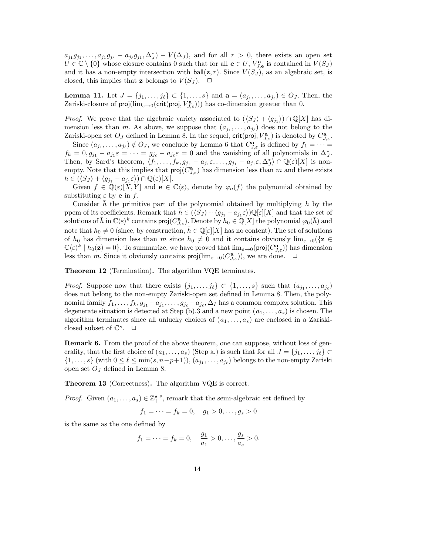$a_{j_1}g_{j_1},\ldots,a_{j_1}g_{j_\ell}-a_{j_\ell}g_{j_1},\Delta_J^*)-V(\Delta_J)$ , and for all  $r>0$ , there exists an open set  $U \in \mathbb{C} \setminus \{0\}$  whose closure contains 0 such that for all  $e \in U$ ,  $V_{J,e}^{\mathbf{a}}$  is contained in  $V(S_J)$ and it has a non-empty intersection with  $ball(z, r)$ . Since  $V(S<sub>J</sub>)$ , as an algebraic set, is closed, this implies that **z** belongs to  $V(S_J)$ .

**Lemma 11.** Let  $J = \{j_1, ..., j_\ell\} \subset \{1, ..., s\}$  and  $\mathbf{a} = (a_{j_1}, ..., a_{j_\ell}) \in O_J$ . Then, the Zariski-closure of  $proj(\lim_{\varepsilon\to 0} (crit(proj, V_{J,\varepsilon}^{\mathbf{a}})))$  has co-dimension greater than 0.

*Proof.* We prove that the algebraic variety associated to  $(\langle S_J \rangle + \langle g_{j_1} \rangle) \cap \mathbb{Q}[X]$  has dimension less than m. As above, we suppose that  $(a_{j_1},..., a_{j_\ell})$  does not belong to the Zariski-open set  $O_J$  defined in Lemma 8. In the sequel,  $\text{crit}(\text{proj}, V_{J,\varepsilon}^{\mathbf{a}})$  is denoted by  $C_{J,\varepsilon}^{\mathbf{a}}$ .

Since  $(a_{j_1},...,a_{j_\ell}) \notin O_J$ , we conclude by Lemma 6 that  $C_{J,\varepsilon}^{\mathbf{a}}$  is defined by  $f_1 = \cdots =$  $f_k = 0, g_{j_1} - a_{j_1} \varepsilon = \cdots = g_{j_\ell} - a_{j_\ell} \varepsilon = 0$  and the vanishing of all polynomials in  $\Delta_j^*$ . Then, by Sard's theorem,  $\langle f_1,\ldots,f_k,g_{j_1}-a_{j_1}\varepsilon,\ldots,g_{j_1}-a_{j_1}\varepsilon,\Delta_j^*\rangle\cap\mathbb{Q}(\varepsilon)[X]$  is nonempty. Note that this implies that  $proj(C_{J,\varepsilon}^{\mathbf{a}})$  has dimension less than m and there exists  $h \in (\langle S_J \rangle + \langle g_{j_1} - a_{j_1} \varepsilon \rangle) \cap \mathbb{Q}(\varepsilon)[X].$ 

Given  $f \in \mathbb{Q}(\varepsilon)[X, Y]$  and  $\mathbf{e} \in \mathbb{C}\langle \varepsilon \rangle$ , denote by  $\varphi_{\mathbf{e}}(f)$  the polynomial obtained by substituting  $\varepsilon$  by **e** in  $f$ .

Consider h the primitive part of the polynomial obtained by multiplying h by the ppcm of its coefficients. Remark that  $\bar{h} \in (\langle S_J \rangle + \langle g_{j_1} - a_{j_1} \varepsilon \rangle) \mathbb{Q}[\varepsilon][X]$  and that the set of solutions of  $\bar{h}$  in  $\mathbb{C}\langle \varepsilon \rangle^k$  contains  $\mathsf{proj}(C_{J,\varepsilon}^{\mathbf{a}})$ . Denote by  $h_0 \in \mathbb{Q}[X]$  the polynomial  $\varphi_0(\bar{h})$  and note that  $h_0 \neq 0$  (since, by construction,  $\bar{h} \in \mathbb{Q}[\varepsilon][X]$  has no content). The set of solutions of  $h_0$  has dimension less than m since  $h_0 \neq 0$  and it contains obviously  $\lim_{\varepsilon\to 0}$  { $\mathbf{z} \in$  $\mathbb{C}\langle \varepsilon \rangle^k \mid h_0(\mathbf{z}) = 0\}$ . To summarize, we have proved that  $\lim_{\varepsilon \to 0} (proj(C_{J,\varepsilon}^{\mathbf{a}}))$  has dimension less than m. Since it obviously contains  $\textsf{proj}(\lim_{\varepsilon\to 0}(C_{J,\varepsilon}^{\mathbf{a}}))$ , we are done.  $\Box$ 

Theorem 12 (Termination). The algorithm VQE terminates.

*Proof.* Suppose now that there exists  $\{j_1, \ldots, j_\ell\} \subset \{1, \ldots, s\}$  such that  $(a_{j_1}, \ldots, a_{j_\ell})$ does not belong to the non-empty Zariski-open set defined in Lemma 8. Then, the polynomial family  $f_1, \ldots, f_k, g_{j_1} - a_{j_1}, \ldots, g_{j_\ell} - a_{j_\ell}, \Delta_I$  has a common complex solution. This degenerate situation is detected at Step (b).3 and a new point  $(a_1, \ldots, a_s)$  is chosen. The algorithm terminates since all unlucky choices of  $(a_1, \ldots, a_s)$  are enclosed in a Zariskiclosed subset of  $\mathbb{C}^s$ .  $\Box$ 

Remark 6. From the proof of the above theorem, one can suppose, without loss of generality, that the first choice of  $(a_1, \ldots, a_s)$  (Step a.) is such that for all  $J = \{j_1, \ldots, j_\ell\} \subset$  $\{1,\ldots,s\}$  (with  $0 \leq \ell \leq \min(s,n-p+1)$ ),  $(a_{j_1},\ldots,a_{j_\ell})$  belongs to the non-empty Zariski open set  $O_J$  defined in Lemma 8.

Theorem 13 (Correctness). The algorithm VQE is correct.

*Proof.* Given  $(a_1, \ldots, a_s) \in \mathbb{Z}_+^{\star}^s$ , remark that the semi-algebraic set defined by

$$
f_1 = \dots = f_k = 0, \quad g_1 > 0, \dots, g_s > 0
$$

is the same as the one defined by

$$
f_1 = \dots = f_k = 0, \quad \frac{g_1}{a_1} > 0, \dots, \frac{g_s}{a_s} > 0.
$$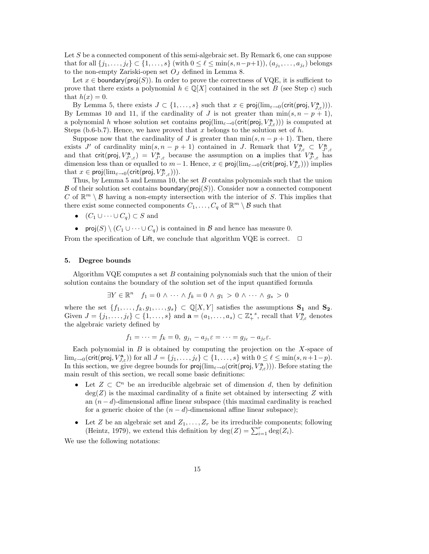Let S be a connected component of this semi-algebraic set. By Remark 6, one can suppose that for all  $\{j_1,\ldots,j_\ell\}\subset \{1,\ldots,s\}$  (with  $0\leq \ell\leq \min(s,n-p+1)$ ),  $(a_{j_1},\ldots,a_{j_\ell})$  belongs to the non-empty Zariski-open set  $O<sub>J</sub>$  defined in Lemma 8.

Let  $x \in$  boundary( $proj(S)$ ). In order to prove the correctness of VQE, it is sufficient to prove that there exists a polynomial  $h \in \mathbb{Q}[X]$  contained in the set B (see Step c) such that  $h(x) = 0$ .

By Lemma 5, there exists  $J \subset \{1, \ldots, s\}$  such that  $x \in \text{proj}(lim_{\varepsilon \to 0}(\text{crit}(\text{proj}, V_{J,\varepsilon}^{\mathbf{a}})))$ . By Lemmas 10 and 11, if the cardinality of J is not greater than  $\min(s, n - p + 1)$ , a polynomial h whose solution set contains  $proj(\lim_{\varepsilon\to 0} (crit(proj, V_{J,\varepsilon}^{\mathbf{a}})))$  is computed at Steps (b.6-b.7). Hence, we have proved that x belongs to the solution set of  $h$ .

Suppose now that the cardinality of J is greater than  $\min(s, n - p + 1)$ . Then, there exists J' of cardinality  $\min(s, n - p + 1)$  contained in J. Remark that  $V_{J,\varepsilon}^{\mathbf{a}} \subset V_{J',\varepsilon}^{\mathbf{a}}$  and that  $\operatorname{crit}(\text{proj}, V_{J',\varepsilon}^{\mathbf{a}}) = V_{J',\varepsilon}^{\mathbf{a}}$  because the assumption on **a** implies that  $V_{J',\varepsilon}^{\mathbf{a}}$ dimension less than or equalled to  $m-1$ . Hence,  $x \in \text{proj}(\lim_{\varepsilon \to 0} (\text{crit}(\text{proj}, V_{J,\varepsilon}^{\mathbf{a}})))$  implies that  $x \in \text{proj}(\lim_{\varepsilon \to 0} (\text{crit}(\text{proj}, V_{J',\varepsilon}^{\mathbf{a}}))).$ 

Thus, by Lemma 5 and Lemma 10, the set B contains polynomials such that the union  $\mathcal B$  of their solution set contains boundary( $proj(S)$ ). Consider now a connected component C of  $\mathbb{R}^m \setminus \mathcal{B}$  having a non-empty intersection with the interior of S. This implies that there exist some connected components  $C_1, \ldots, C_q$  of  $\mathbb{R}^m \setminus \mathcal{B}$  such that

- $(C_1 \cup \cdots \cup C_q) \subset S$  and
- proj $(S) \setminus (C_1 \cup \cdots \cup C_q)$  is contained in B and hence has measure 0.

From the specification of Lift, we conclude that algorithm VQE is correct.  $\Box$ 

#### 5. Degree bounds

Algorithm VQE computes a set  $B$  containing polynomials such that the union of their solution contains the boundary of the solution set of the input quantified formula

$$
\exists Y \in \mathbb{R}^n \quad f_1 = 0 \land \dots \land f_k = 0 \land g_1 > 0 \land \dots \land g_s > 0
$$

where the set  $\{f_1,\ldots,f_k,g_1,\ldots,g_s\}\subset \mathbb{Q}[X,Y]$  satisfies the assumptions  $S_1$  and  $S_2$ . Given  $J = \{j_1, \ldots, j_\ell\} \subset \{1, \ldots, s\}$  and  $\mathbf{a} = (a_1, \ldots, a_s) \subset \mathbb{Z}_+^{\star s}$ , recall that  $V_{J,\varepsilon}^{\mathbf{a}}$  denotes the algebraic variety defined by

$$
f_1 = \cdots = f_k = 0, \ g_{j_1} - a_{j_1} \varepsilon = \cdots = g_{j_\ell} - a_{j_\ell} \varepsilon.
$$

Each polynomial in  $B$  is obtained by computing the projection on the  $X$ -space of  $\lim_{\varepsilon\to 0}$ (crit(proj,  $V_{J,\varepsilon}^{\mathbf{a}}$ )) for all  $J = \{j_1,\ldots,j_\ell\} \subset \{1,\ldots,s\}$  with  $0 \leq \ell \leq \min(s,n+1-p)$ . In this section, we give degree bounds for  $proj(\lim_{\varepsilon\to 0} (crit(proj, V_{J,\varepsilon}^{\mathbf{a}})))$ . Before stating the main result of this section, we recall some basic definitions:

- Let  $Z \subset \mathbb{C}^n$  be an irreducible algebraic set of dimension d, then by definition  $deg(Z)$  is the maximal cardinality of a finite set obtained by intersecting Z with an  $(n-d)$ -dimensional affine linear subspace (this maximal cardinality is reached for a generic choice of the  $(n - d)$ -dimensional affine linear subspace);
- Let Z be an algebraic set and  $Z_1, \ldots, Z_r$  be its irreducible components; following (Heintz, 1979), we extend this definition by  $\deg(Z) = \sum_{i=1}^{r} \deg(Z_i)$ .

We use the following notations: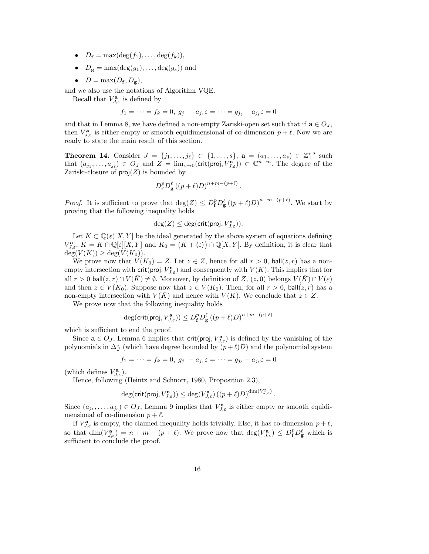- $D_f = \max(\deg(f_1), \ldots, \deg(f_k)),$
- $D_{\mathbf{g}} = \max(\deg(g_1), \ldots, \deg(g_s))$  and
- $D = \max(D_f, D_g)$ ,

and we also use the notations of Algorithm VQE.

Recall that  $V_{J,\varepsilon}^{\mathbf{a}}$  is defined by

$$
f_1=\cdots=f_k=0,\;g_{j_1}-a_{j_1}\varepsilon=\cdots=g_{j_\ell}-a_{j_\ell}\varepsilon=0
$$

and that in Lemma 8, we have defined a non-empty Zariski-open set such that if  $\mathbf{a} \in O_J$ , then  $V_{J,\varepsilon}^{\mathbf{a}}$  is either empty or smooth equidimensional of co-dimension  $p+\ell$ . Now we are ready to state the main result of this section.

**Theorem 14.** Consider  $J = \{j_1, ..., j_\ell\} \subset \{1, ..., s\}$ ,  $\mathbf{a} = (a_1, ..., a_s) \in \mathbb{Z}_+^*$  such that  $(a_{j_1},...,a_{j_\ell}) \in O_J$  and  $Z = \lim_{\varepsilon \to 0} (\text{crit}(\text{proj}, V_{J,\varepsilon}^{\mathbf{a}})) \subset \mathbb{C}^{n+m}$ . The degree of the Zariski-closure of  $proj(Z)$  is bounded by

$$
D_{\mathbf{f}}^{p}D_{\mathbf{g}}^{\ell}\left((p+\ell)D\right)^{n+m-(p+\ell)}
$$

.

*Proof.* It is sufficient to prove that  $\deg(Z) \leq D_{\mathbf{f}}^p D_{\mathbf{g}}^{\ell} ((p+\ell)D)^{n+m-(p+\ell)}$ . We start by proving that the following inequality holds

$$
\deg(Z) \le \deg(\mathsf{crit}(\mathsf{proj}, V_{J,\varepsilon}^{\mathbf{a}})).
$$

Let  $K \subset \mathbb{Q}(\varepsilon)[X, Y]$  be the ideal generated by the above system of equations defining  $V_{J,\varepsilon}^{\mathbf{a}}, \bar{K} = K \cap \overline{\mathbb{Q}}[\varepsilon][X,Y]$  and  $K_0 = (\bar{K} + \langle \varepsilon \rangle) \cap \mathbb{Q}[X,Y]$ . By definition, it is clear that  $deg(V(K)) \geq deg(V(K_0)).$ 

We prove now that  $V(K_0) = Z$ . Let  $z \in Z$ , hence for all  $r > 0$ , ball $(z, r)$  has a nonempty intersection with  $\text{crit}(\text{proj}, V_{J,\varepsilon}^{\mathbf{a}})$  and consequently with  $V(K)$ . This implies that for all  $r > 0$  ball $(z, r) \cap V(\overline{K}) \neq \emptyset$ . Moreover, by definition of  $Z$ ,  $(z, 0)$  belongs  $V(\overline{K}) \cap V(\varepsilon)$ and then  $z \in V(K_0)$ . Suppose now that  $z \in V(K_0)$ . Then, for all  $r > 0$ , ball $(z, r)$  has a non-empty intersection with  $V(K)$  and hence with  $V(K)$ . We conclude that  $z \in Z$ .

We prove now that the following inequality holds

$$
\deg(\text{crit}(\text{proj}, V_{J,\varepsilon}^{\mathbf{a}})) \le D_{\mathbf{f}}^p D_{\mathbf{g}}^{\ell} ((p+\ell)D)^{n+m-(p+\ell)}
$$

which is sufficient to end the proof.

Since  $\mathbf{a} \in O_J$ , Lemma 6 implies that crit(proj,  $V_{J,\varepsilon}^{\mathbf{a}}$ ) is defined by the vanishing of the polynomials in  $\Delta_J^{\star}$  (which have degree bounded by  $(p+\ell)D$ ) and the polynomial system

$$
f_1 = \cdots = f_k = 0, \ g_{j_1} - a_{j_1} \varepsilon = \cdots = g_{j_\ell} - a_{j_\ell} \varepsilon = 0
$$

(which defines  $V^{\mathbf{a}}_{J,\varepsilon}$ ).

Hence, following (Heintz and Schnorr, 1980, Proposition 2.3),

$$
\deg(\textnormal{crit}(\textnormal{proj}, V^\mathbf{a}_{J, \varepsilon})) \leq \deg(V^\mathbf{a}_{J, \varepsilon}) \left((p+\ell) D \right)^{\dim(V^\mathbf{a}_{J, \varepsilon})}.
$$

Since  $(a_{j_1},...,a_{j_\ell}) \in O_J$ , Lemma 9 implies that  $V_{J,\varepsilon}^{\mathbf{a}}$  is either empty or smooth equidimensional of co-dimension  $p + \ell$ .

If  $V_{J,\varepsilon}^{\mathbf{a}}$  is empty, the claimed inequality holds trivially. Else, it has co-dimension  $p+\ell$ , so that  $\dim(V_{J,\varepsilon}^{\mathbf{a}}) = n + m - (p + \ell)$ . We prove now that  $\deg(V_{J,\varepsilon}^{\mathbf{a}}) \leq D_{\mathbf{f}}^p D_{\mathbf{g}}^{\ell}$  which is sufficient to conclude the proof.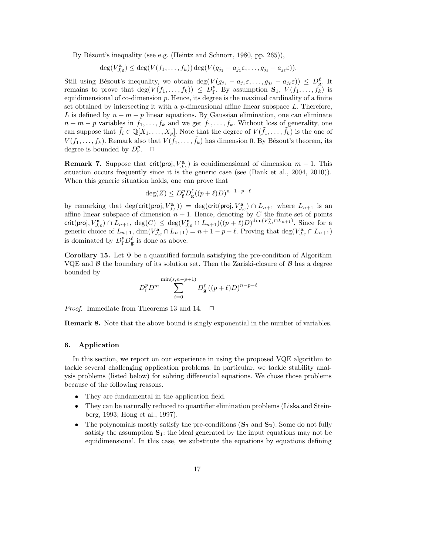By Bézout's inequality (see e.g. (Heintz and Schnorr, 1980, pp. 265)),

$$
\deg(V_{J,\varepsilon}^{\mathbf{a}}) \leq \deg(V(f_1,\ldots,f_k)) \deg(V(g_{j_1}-a_{j_1}\varepsilon,\ldots,g_{j_\ell}-a_{j_\ell}\varepsilon)).
$$

Still using Bézout's inequality, we obtain  $\deg(V(g_{j_1} - a_{j_1}\varepsilon, \ldots, g_{j_\ell} - a_{j_\ell}\varepsilon)) \leq D_{\bf g}^{\ell}$ . It remains to prove that  $\deg(V(f_1,\ldots,f_k)) \leq D_f^p$ . By assumption  $\mathbf{S}_1, V(f_1,\ldots,f_k)$  is equidimensional of co-dimension  $p$ . Hence, its degree is the maximal cardinality of a finite set obtained by intersecting it with a  $p$ -dimensional affine linear subspace  $L$ . Therefore, L is defined by  $n + m - p$  linear equations. By Gaussian elimination, one can eliminate  $n + m - p$  variables in  $f_1, \ldots, f_k$  and we get  $\tilde{f}_1, \ldots, \tilde{f}_k$ . Without loss of generality, one can suppose that  $\tilde{f}_i \in \mathbb{Q}[X_1,\ldots,X_p]$ . Note that the degree of  $V(\tilde{f}_1,\ldots,\tilde{f}_k)$  is the one of  $V(f_1,\ldots,f_k)$ . Remark also that  $V(\tilde{f}_1,\ldots,\tilde{f}_k)$  has dimension 0. By Bézout's theorem, its degree is bounded by  $D_{\mathbf{f}}^p$ .  $\Box$ 

**Remark 7.** Suppose that crit(proj,  $V_{J,\varepsilon}^{\mathbf{a}}$ ) is equidimensional of dimension  $m-1$ . This situation occurs frequently since it is the generic case (see (Bank et al., 2004, 2010)). When this generic situation holds, one can prove that

$$
\deg(Z) \le D_{\mathbf{f}}^p D_{\mathbf{g}}^{\ell} ((p+\ell)D)^{n+1-p-\ell}
$$

by remarking that  $deg(crit(proj, V_{J,\varepsilon}^{\mathbf{a}})) = deg(crit(proj, V_{J,\varepsilon}^{\mathbf{a}}) \cap L_{n+1}$  where  $L_{n+1}$  is an affine linear subspace of dimension  $n + 1$ . Hence, denoting by C the finite set of points crit(proj,  $V_{J,\varepsilon}^{\mathbf{a}}$ )  $\cap$   $L_{n+1}$ ,  $\deg(C) \leq \deg(V_{J,\varepsilon}^{\mathbf{a}} \cap L_{n+1})((p+\ell)D)^{\dim(V_{J,\varepsilon}^{\mathbf{a}} \cap L_{n+1})}$ . Since for a generic choice of  $L_{n+1}$ ,  $\dim(V_{J,\varepsilon}^{\mathbf{a}} \cap L_{n+1}) = n+1-p-\ell$ . Proving that  $\deg(V_{J,\varepsilon}^{\mathbf{a}} \cap L_{n+1})$ is dominated by  $D_{\mathbf{f}}^p D_{\mathbf{g}}^{\ell}$  is done as above.

Corollary 15. Let  $\Psi$  be a quantified formula satisfying the pre-condition of Algorithm VQE and  $\beta$  the boundary of its solution set. Then the Zariski-closure of  $\beta$  has a degree bounded by

$$
D_{\mathbf{f}}^{p}D^{m}\sum_{i=0}^{\min(s,n-p+1)}D_{\mathbf{g}}^{\ell}\left((p+\ell)D\right)^{n-p-\ell}
$$

*Proof.* Immediate from Theorems 13 and 14.  $\Box$ 

Remark 8. Note that the above bound is singly exponential in the number of variables.

#### 6. Application

In this section, we report on our experience in using the proposed VQE algorithm to tackle several challenging application problems. In particular, we tackle stability analysis problems (listed below) for solving differential equations. We chose those problems because of the following reasons.

- They are fundamental in the application field.
- They can be naturally reduced to quantifier elimination problems (Liska and Steinberg, 1993; Hong et al., 1997).
- The polynomials mostly satisfy the pre-conditions  $(S_1 \text{ and } S_2)$ . Some do not fully satisfy the assumption  $S_1$ : the ideal generated by the input equations may not be equidimensional. In this case, we substitute the equations by equations defining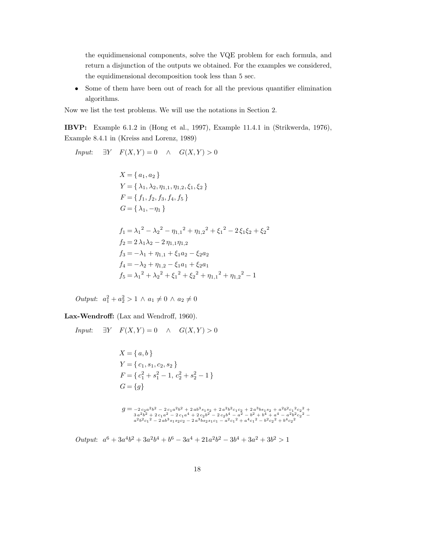the equidimensional components, solve the VQE problem for each formula, and return a disjunction of the outputs we obtained. For the examples we considered, the equidimensional decomposition took less than 5 sec.

• Some of them have been out of reach for all the previous quantifier elimination algorithms.

Now we list the test problems. We will use the notations in Section 2.

IBVP: Example 6.1.2 in (Hong et al., 1997), Example 11.4.1 in (Strikwerda, 1976), Example 8.4.1 in (Kreiss and Lorenz, 1989)

*Input*: 
$$
\exists Y \quad F(X, Y) = 0 \quad \land \quad G(X, Y) > 0
$$
  
\n
$$
X = \{a_1, a_2\}
$$
\n
$$
Y = \{\lambda_1, \lambda_2, \eta_{1,1}, \eta_{1,2}, \xi_1, \xi_2\}
$$
\n
$$
F = \{f_1, f_2, f_3, f_4, f_5\}
$$
\n
$$
G = \{\lambda_1, -\eta_1\}
$$
\n
$$
f_1 = \lambda_1^2 - \lambda_2^2 - \eta_{1,1}^2 + \eta_{1,2}^2 + \xi_1^2 - 2\xi_1\xi_2 + \xi_2^2
$$
\n
$$
f_2 = 2\lambda_1\lambda_2 - 2\eta_{1,1}\eta_{1,2}
$$
\n
$$
f_3 = -\lambda_1 + \eta_{1,1} + \xi_1a_2 - \xi_2a_2
$$
\n
$$
f_4 = -\lambda_2 + \eta_{1,2} - \xi_1a_1 + \xi_2a_1
$$
\n
$$
f_5 = \lambda_1^2 + \lambda_2^2 + \xi_1^2 + \xi_2^2 + \eta_{1,1}^2 + \eta_{1,2}^2 - 1
$$

*Output*:  $a_1^2 + a_2^2 > 1 \land a_1 \neq 0 \land a_2 \neq 0$ 

Lax-Wendroff: (Lax and Wendroff, 1960).

$$
Input: \quad \exists Y \quad F(X,Y) = 0 \quad \land \quad G(X,Y) > 0
$$

$$
X = \{a, b\}
$$
  
\n
$$
Y = \{c_1, s_1, c_2, s_2\}
$$
  
\n
$$
F = \{c_1^2 + s_1^2 - 1, c_2^2 + s_2^2 - 1\}
$$
  
\n
$$
G = \{g\}
$$
  
\n
$$
g = -2c_2a^2b^2 - 2c_1a^2b^2 + 2ab^3s_1s_2 + 2a^2b^2c_1c_2 + 2a^3bs_1s_2 + a^2b^2c_1^2c_2^2 + 3a^2b^2b^2 + 2c_1a^2 - 2c_1a^4 + 2c_2b^2 - 2c_2b^4 - a^2 - b^2 + b^4 + a^4 - a^2b^2c_2^2 - a^2b^2c_1^2 - 2ab^3s_1s_2c_2 - 2a^3bs_2s_1c_1 - a^2c_1^2 + a^4c_1^2 - b^2c_2^2 + b^4c_2^2
$$

*Output*:  $a^6 + 3a^4b^2 + 3a^2b^4 + b^6 - 3a^4 + 21a^2b^2 - 3b^4 + 3a^2 + 3b^2 > 1$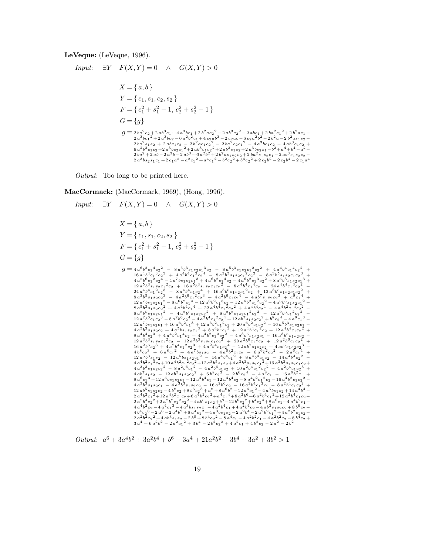LeVeque: (LeVeque, 1996).

*Input*:  $\exists Y \quad F(X,Y) = 0 \quad \land \quad G(X,Y) > 0$  $X = \{a, b\}$  $Y = \{c_1, s_1, c_2, s_2\}$  $F = \{c_1^2 + s_1^2 - 1, c_2^2 + s_2^2 - 1\}$  $G = \{g\}$  $\begin{aligned} g ={}& \, 2 \, b a^2 c_2 + 2 \, a b^3 c_1 + 4 \, a^3 b c_1 + 2 \, b^2 a c_2^2 - 2 \, a b^3 c_2^2 - 2 \, a b c_1 + 2 \, b a^2 c_1^2 + 2 \, b^2 a c_1 - \\ & \, 2 \, a^3 b c_1^2 + 2 \, a^3 b c_2 - 6 \, a^2 b^2 c_1 + 4 \, c_2 a b^3 - 2 \, c_2 a b - 6 \, c_2 a^2 b^2 - 2 \, b^2 a - 2 \, b^2 a s_1 s_2 - \\ & \,$ 

*Output*: Too long to be printed here.

MacCormack: (MacCormack, 1969), (Hong, 1996).

$$
\begin{array}{llllllllll} \Box Y & F(X,Y)=0 & \wedge & G(X,Y)>0 \\ X=\{ \ a,b \} \\ Y=\{ \ c_1,s_1,c_2,s_2 \} \\ G=\{g \} \\ g=a_4 e^6 c_1^2+c_2^2 & -s_2^5 s_3^3 s_2 c_1^2 c_2^2 & -s_4 e^5 s_3^3 s_2 c_1^2 c_2^2 & +4 a^4 b^4 c_1^4 c_2^2 & + a^4 b^4 c_1^4 c_2^2 & + a^4 b^4 c_1^4 c_2^2 & + a^4 b^4 c_1^4 c_2^2 & + a^4 b^4 c_1^2 c_2^2 & -s_4 b^5 s_1 s_2 c_1^2 c_2^2 & -s_4 b^5 s_1 s_2 c_1 c_2^3 & + a^2 b^2 s_1^2 c_2^2 & -a^2 b^2 s_1 s_2^2 c_1^2 c_2^2 & -s_4 b^2 s_1 s_2^2 c_1^2 c_2^2 & + a^4 b^4 c_1^2 c_2^2 & + a^4 b^4 c_1^2 c_2^2 & -a^4 b^4 c_1^2 c_2^2 & -a^4 b^4 c_1^2 c_2^2 & -a^4 b^4 c_1^2 c_2^2 & -a^4 b^4 c_1^2 c_2^2 & -a^4 b^4 c_1^2 c_2^2 & -a^4 b^4 c_1^2 c_2^2 & -a^4 b^4 c_1^2 c_2^2 & -a^4 b^4 c_1^2 c_2^2 & -a^4 b^4 c_1^2 c_2^2 & -a^4 b^4 c_1^2 c_2^2 & -a^4 b^4 c_1^2 c_2^2 & -a^4 b^4 c_1^2 c_2^2 & -a^4 b^4 c_1^2 c_2^2 & -a^4 b^4 c_1^2 c_2^2 & -a^4 b^4 c_1^2 c_2^2 & -a^4 b^4 c_1^2 c_2^2 & -a^4 b^4 c_1^2 c_2^2 & -a^4 b^4 c_1^2 c_2^2 & -a^4 b^4 c_1^2 c_2^2 & -a^4 b^4 c_1^2 c_2^2 & -a^4 b^4 c_1^2 c_2^2 & -a^4
$$

*Output*:  $a^6 + 3a^4b^2 + 3a^2b^4 + b^6 - 3a^4 + 21a^2b^2 - 3b^4 + 3a^2 + 3b^2 > 1$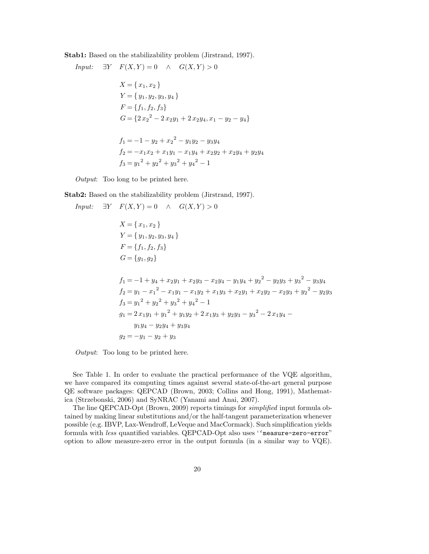Stab1: Based on the stabilizability problem (Jirstrand, 1997).

*Input:*  $\exists Y \quad F(X,Y) = 0 \quad \land \quad G(X,Y) > 0$  $X = \{x_1, x_2\}$  $Y = \{y_1, y_2, y_3, y_4\}$  $F = \{f_1, f_2, f_3\}$  $G = \{2x_2^2 - 2x_2y_1 + 2x_2y_4, x_1 - y_2 - y_4\}$  $f_1 = -1 - y_2 + x_2^2 - y_1y_2 - y_3y_4$  $f_2 = -x_1x_2 + x_1y_1 - x_1y_4 + x_2y_2 + x_2y_4 + y_2y_4$  $f_3 = y_1^2 + y_2^2 + y_3^2 + y_4^2 - 1$ 

*Output*: Too long to be printed here.

Stab2: Based on the stabilizability problem (Jirstrand, 1997).

Input: 
$$
\exists Y \quad F(X, Y) = 0 \land G(X, Y) > 0
$$
  
\n $X = \{x_1, x_2\}$   
\n $Y = \{y_1, y_2, y_3, y_4\}$   
\n $F = \{f_1, f_2, f_3\}$   
\n $G = \{g_1, g_2\}$   
\n $f_1 = -1 + y_4 + x_2y_1 + x_2y_3 - x_2y_4 - y_1y_4 + y_2^2 - y_2y_3 + y_3^2 - y_3y_4$   
\n $f_2 = y_1 - x_1^2 - x_1y_1 - x_1y_2 + x_1y_3 + x_2y_1 + x_2y_2 - x_2y_3 + y_2^2 - y_2y_3$   
\n $f_3 = y_1^2 + y_2^2 + y_3^2 + y_4^2 - 1$   
\n $g_1 = 2x_1y_1 + y_1^2 + y_1y_2 + 2x_1y_3 + y_2y_3 - y_3^2 - 2x_1y_4 - y_1y_4 - y_2y_4 + y_3y_4$   
\n $g_2 = -y_1 - y_2 + y_3$ 

*Output*: Too long to be printed here.

See Table 1. In order to evaluate the practical performance of the VQE algorithm, we have compared its computing times against several state-of-the-art general purpose QE software packages: QEPCAD (Brown, 2003; Collins and Hong, 1991), Mathematica (Strzebonski, 2006) and SyNRAC (Yanami and Anai, 2007).

The line QEPCAD-Opt (Brown, 2009) reports timings for *simplified* input formula obtained by making linear substitutions and/or the half-tangent parameterization whenever possible (e.g. IBVP, Lax-Wendroff, LeVeque and MacCormack). Such simplification yields formula with *less* quantified variables. QEPCAD-Opt also uses ''measure-zero-error" option to allow measure-zero error in the output formula (in a similar way to VQE).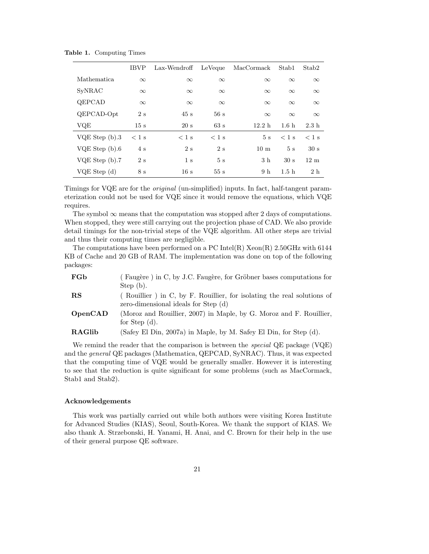|                    | <b>IBVP</b> | Lax-Wendroff   | LeVeque  | MacCormack     | Stab1            | Stab <sub>2</sub> |
|--------------------|-------------|----------------|----------|----------------|------------------|-------------------|
| <b>Mathematica</b> | $\infty$    | $\infty$       | $\infty$ | $\infty$       | $\infty$         | $\infty$          |
| SyNRAC             | $\infty$    | $\infty$       | $\infty$ | $\infty$       | $\infty$         | $\infty$          |
| QEPCAD             | $\infty$    | $\infty$       | $\infty$ | $\infty$       | $\infty$         | $\infty$          |
| QEPCAD-Opt         | 2s          | 45s            | 56s      | $\infty$       | $\infty$         | $\infty$          |
| VQE                | 15 s        | 20 s           | 63 s     | 12.2 h         | 1.6 <sub>h</sub> | 2.3h              |
| $VQE$ Step $(b).3$ | $<$ 1 s     | $<$ 1 s        | $<$ 1 s  | 5s             | $<$ 1 s          | $<$ 1 s           |
| VQE Step $(b).6$   | 4s          | 2s             | 2s       | $10 \text{ m}$ | 5s               | 30 s              |
| VQE Step (b).7     | 2s          | 1 <sub>s</sub> | 5s       | 3 <sub>h</sub> | 30 s             | 12 <sub>m</sub>   |
| VQE Step (d)       | 8 s         | 16 s           | 55s      | 9 <sub>h</sub> | 1.5 <sub>h</sub> | 2h                |

Table 1. Computing Times

Timings for VQE are for the *original* (un-simplified) inputs. In fact, half-tangent parameterization could not be used for VQE since it would remove the equations, which VQE requires.

The symbol  $\infty$  means that the computation was stopped after 2 days of computations. When stopped, they were still carrying out the projection phase of CAD. We also provide detail timings for the non-trivial steps of the VQE algorithm. All other steps are trivial and thus their computing times are negligible.

The computations have been performed on a  $\rm{PC}$  Intel $(R)$  Xeon $(R)$  2.50GHz with 6144 KB of Cache and 20 GB of RAM. The implementation was done on top of the following packages:

| FGb         | (Faugère) in C, by J.C. Faugère, for Gröbner bases computations for                                            |  |  |  |  |
|-------------|----------------------------------------------------------------------------------------------------------------|--|--|--|--|
|             | Step (b).                                                                                                      |  |  |  |  |
| $_{\rm RS}$ | (Rouillier) in C, by F. Rouillier, for isolating the real solutions of<br>zero-dimensional ideals for Step (d) |  |  |  |  |
| OpenCAD     | (Moroz and Rouillier, 2007) in Maple, by G. Moroz and F. Rouillier,<br>for Step $(d)$ .                        |  |  |  |  |
| RAGlib      | (Safey El Din, 2007a) in Maple, by M. Safey El Din, for Step (d).                                              |  |  |  |  |

We remind the reader that the comparison is between the *special* QE package (VQE) and the *general* QE packages (Mathematica, QEPCAD, SyNRAC). Thus, it was expected that the computing time of VQE would be generally smaller. However it is interesting to see that the reduction is quite significant for some problems (such as MacCormack, Stab1 and Stab2).

#### Acknowledgements

This work was partially carried out while both authors were visiting Korea Institute for Advanced Studies (KIAS), Seoul, South-Korea. We thank the support of KIAS. We also thank A. Strzebonski, H. Yanami, H. Anai, and C. Brown for their help in the use of their general purpose QE software.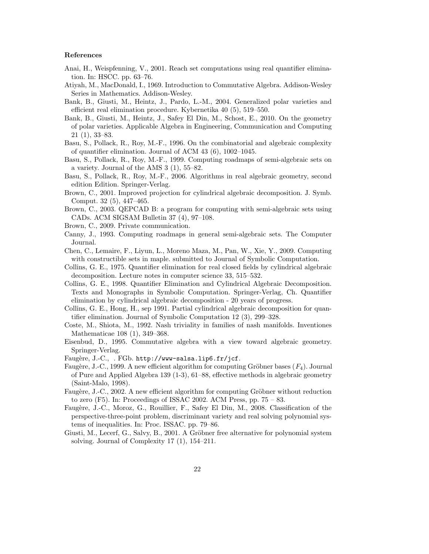#### References

- Anai, H., Weispfenning, V., 2001. Reach set computations using real quantifier elimination. In: HSCC. pp. 63–76.
- Atiyah, M., MacDonald, I., 1969. Introduction to Commutative Algebra. Addison-Wesley Series in Mathematics. Addison-Wesley.
- Bank, B., Giusti, M., Heintz, J., Pardo, L.-M., 2004. Generalized polar varieties and efficient real elimination procedure. Kybernetika 40 (5), 519–550.
- Bank, B., Giusti, M., Heintz, J., Safey El Din, M., Schost, E., 2010. On the geometry of polar varieties. Applicable Algebra in Engineering, Communication and Computing 21 (1), 33–83.
- Basu, S., Pollack, R., Roy, M.-F., 1996. On the combinatorial and algebraic complexity of quantifier elimination. Journal of ACM 43 (6), 1002–1045.
- Basu, S., Pollack, R., Roy, M.-F., 1999. Computing roadmaps of semi-algebraic sets on a variety. Journal of the AMS 3 (1), 55–82.
- Basu, S., Pollack, R., Roy, M.-F., 2006. Algorithms in real algebraic geometry, second edition Edition. Springer-Verlag.
- Brown, C., 2001. Improved projection for cylindrical algebraic decomposition. J. Symb. Comput. 32 (5), 447–465.
- Brown, C., 2003. QEPCAD B: a program for computing with semi-algebraic sets using CADs. ACM SIGSAM Bulletin 37 (4), 97–108.
- Brown, C., 2009. Private communication.
- Canny, J., 1993. Computing roadmaps in general semi-algebraic sets. The Computer Journal.
- Chen, C., Lemaire, F., Liyun, L., Moreno Maza, M., Pan, W., Xie, Y., 2009. Computing with constructible sets in maple. submitted to Journal of Symbolic Computation.
- Collins, G. E., 1975. Quantifier elimination for real closed fields by cylindrical algebraic decomposition. Lecture notes in computer science 33, 515–532.
- Collins, G. E., 1998. Quantifier Elimination and Cylindrical Algebraic Decomposition. Texts and Monographs in Symbolic Computation. Springer-Verlag, Ch. Quantifier elimination by cylindrical algebraic decomposition - 20 years of progress.
- Collins, G. E., Hong, H., sep 1991. Partial cylindrical algebraic decomposition for quantifier elimination. Journal of Symbolic Computation 12 (3), 299–328.
- Coste, M., Shiota, M., 1992. Nash triviality in families of nash manifolds. Inventiones Mathematicae 108 (1), 349–368.
- Eisenbud, D., 1995. Commutative algebra with a view toward algebraic geometry. Springer-Verlag.
- Faugère, J.-C., . FGb. http://www-salsa.lip6.fr/jcf.
- Faugère, J.-C., 1999. A new efficient algorithm for computing Gröbner bases  $(F_4)$ . Journal of Pure and Applied Algebra 139 (1-3), 61–88, effective methods in algebraic geometry (Saint-Malo, 1998).
- Faugère, J.-C., 2002. A new efficient algorithm for computing Gröbner without reduction to zero  $(F5)$ . In: Proceedings of ISSAC 2002. ACM Press, pp.  $75 - 83$ .
- Faugère, J.-C., Moroz, G., Rouillier, F., Safey El Din, M., 2008. Classification of the perspective-three-point problem, discriminant variety and real solving polynomial systems of inequalities. In: Proc. ISSAC. pp. 79–86.
- Giusti, M., Lecerf, G., Salvy, B., 2001. A Gröbner free alternative for polynomial system solving. Journal of Complexity 17 (1), 154–211.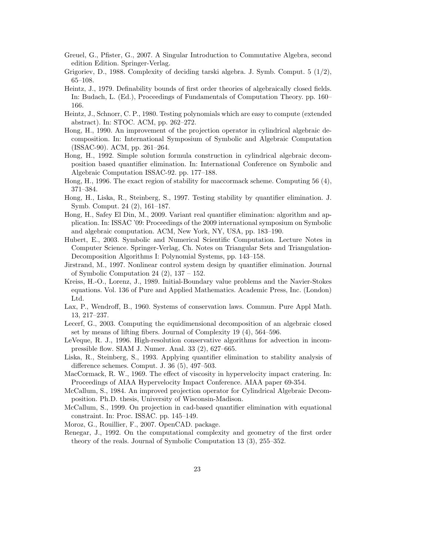- Greuel, G., Pfister, G., 2007. A Singular Introduction to Commutative Algebra, second edition Edition. Springer-Verlag.
- Grigoriev, D., 1988. Complexity of deciding tarski algebra. J. Symb. Comput. 5 (1/2), 65–108.
- Heintz, J., 1979. Definability bounds of first order theories of algebraically closed fields. In: Budach, L. (Ed.), Proceedings of Fundamentals of Computation Theory. pp. 160– 166.
- Heintz, J., Schnorr, C. P., 1980. Testing polynomials which are easy to compute (extended abstract). In: STOC. ACM, pp. 262–272.
- Hong, H., 1990. An improvement of the projection operator in cylindrical algebraic decomposition. In: International Symposium of Symbolic and Algebraic Computation (ISSAC-90). ACM, pp. 261–264.
- Hong, H., 1992. Simple solution formula construction in cylindrical algebraic decomposition based quantifier elimination. In: International Conference on Symbolic and Algebraic Computation ISSAC-92. pp. 177–188.
- Hong, H., 1996. The exact region of stability for maccormack scheme. Computing 56 (4), 371–384.
- Hong, H., Liska, R., Steinberg, S., 1997. Testing stability by quantifier elimination. J. Symb. Comput. 24 (2), 161–187.
- Hong, H., Safey El Din, M., 2009. Variant real quantifier elimination: algorithm and application. In: ISSAC '09: Proceedings of the 2009 international symposium on Symbolic and algebraic computation. ACM, New York, NY, USA, pp. 183–190.
- Hubert, E., 2003. Symbolic and Numerical Scientific Computation. Lecture Notes in Computer Science. Springer-Verlag, Ch. Notes on Triangular Sets and Triangulation-Decomposition Algorithms I: Polynomial Systems, pp. 143–158.
- Jirstrand, M., 1997. Nonlinear control system design by quantifier elimination. Journal of Symbolic Computation 24  $(2)$ , 137 – 152.
- Kreiss, H.-O., Lorenz, J., 1989. Initial-Boundary value problems and the Navier-Stokes equations. Vol. 136 of Pure and Applied Mathematics. Academic Press, Inc. (London) Ltd.
- Lax, P., Wendroff, B., 1960. Systems of conservation laws. Commun. Pure Appl Math. 13, 217–237.
- Lecerf, G., 2003. Computing the equidimensional decomposition of an algebraic closed set by means of lifting fibers. Journal of Complexity 19 (4), 564–596.
- LeVeque, R. J., 1996. High-resolution conservative algorithms for advection in incompressible flow. SIAM J. Numer. Anal. 33 (2), 627–665.
- Liska, R., Steinberg, S., 1993. Applying quantifier elimination to stability analysis of difference schemes. Comput. J. 36 (5), 497–503.
- MacCormack, R. W., 1969. The effect of viscosity in hypervelocity impact cratering. In: Proceedings of AIAA Hypervelocity Impact Conference. AIAA paper 69-354.
- McCallum, S., 1984. An improved projection operator for Cylindrical Algebraic Decomposition. Ph.D. thesis, University of Wisconsin-Madison.
- McCallum, S., 1999. On projection in cad-based quantifier elimination with equational constraint. In: Proc. ISSAC. pp. 145–149.
- Moroz, G., Rouillier, F., 2007. OpenCAD. package.
- Renegar, J., 1992. On the computational complexity and geometry of the first order theory of the reals. Journal of Symbolic Computation 13 (3), 255–352.